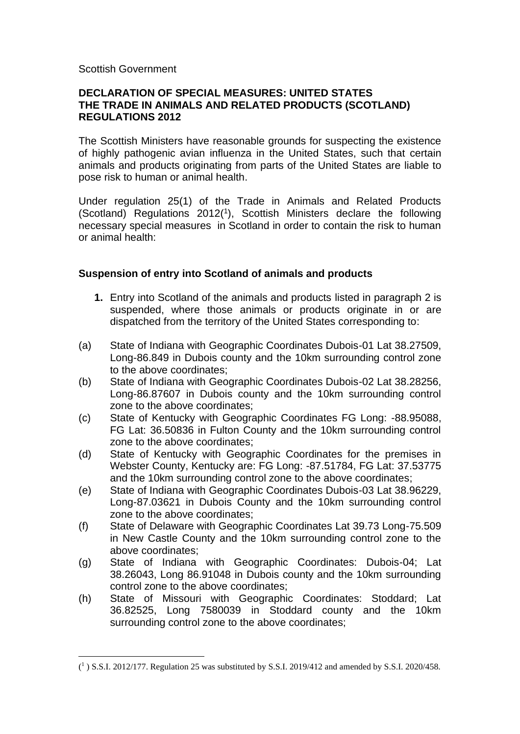#### Scottish Government

## **DECLARATION OF SPECIAL MEASURES: UNITED STATES THE TRADE IN ANIMALS AND RELATED PRODUCTS (SCOTLAND) REGULATIONS 2012**

The Scottish Ministers have reasonable grounds for suspecting the existence of highly pathogenic avian influenza in the United States, such that certain animals and products originating from parts of the United States are liable to pose risk to human or animal health.

Under regulation 25(1) of the Trade in Animals and Related Products (Scotland) Regulations 2012(<sup>1</sup> ), Scottish Ministers declare the following necessary special measures in Scotland in order to contain the risk to human or animal health:

## **Suspension of entry into Scotland of animals and products**

- **1.** Entry into Scotland of the animals and products listed in paragraph 2 is suspended, where those animals or products originate in or are dispatched from the territory of the United States corresponding to:
- (a) State of Indiana with Geographic Coordinates Dubois-01 Lat 38.27509, Long-86.849 in Dubois county and the 10km surrounding control zone to the above coordinates;
- (b) State of Indiana with Geographic Coordinates Dubois-02 Lat 38.28256, Long-86.87607 in Dubois county and the 10km surrounding control zone to the above coordinates;
- (c) State of Kentucky with Geographic Coordinates FG Long: -88.95088, FG Lat: 36.50836 in Fulton County and the 10km surrounding control zone to the above coordinates;
- (d) State of Kentucky with Geographic Coordinates for the premises in Webster County, Kentucky are: FG Long: -87.51784, FG Lat: 37.53775 and the 10km surrounding control zone to the above coordinates;
- (e) State of Indiana with Geographic Coordinates Dubois-03 Lat 38.96229, Long-87.03621 in Dubois County and the 10km surrounding control zone to the above coordinates;
- (f) State of Delaware with Geographic Coordinates Lat 39.73 Long-75.509 in New Castle County and the 10km surrounding control zone to the above coordinates;
- (g) State of Indiana with Geographic Coordinates: Dubois-04; Lat 38.26043, Long 86.91048 in Dubois county and the 10km surrounding control zone to the above coordinates;
- (h) State of Missouri with Geographic Coordinates: Stoddard; Lat 36.82525, Long 7580039 in Stoddard county and the 10km surrounding control zone to the above coordinates;

 $(^{1})$  S.S.I. 2012/177. Regulation 25 was substituted by S.S.I. 2019/412 and amended by S.S.I. 2020/458.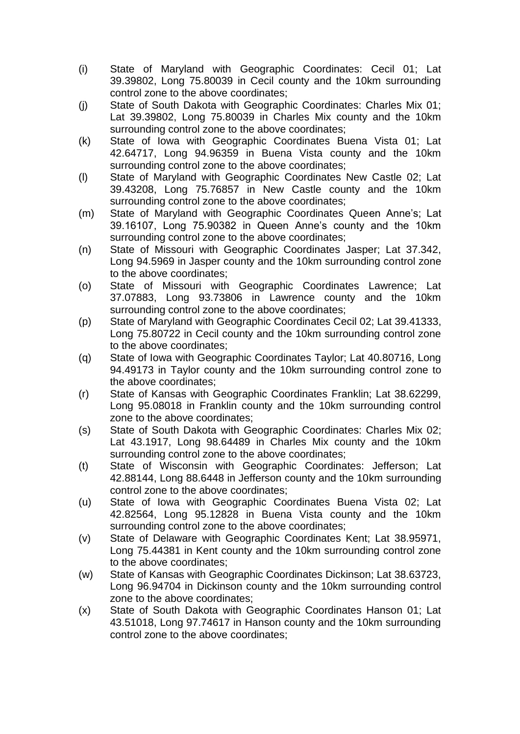- (i) State of Maryland with Geographic Coordinates: Cecil 01; Lat 39.39802, Long 75.80039 in Cecil county and the 10km surrounding control zone to the above coordinates;
- (j) State of South Dakota with Geographic Coordinates: Charles Mix 01; Lat 39.39802, Long 75.80039 in Charles Mix county and the 10km surrounding control zone to the above coordinates;
- (k) State of Iowa with Geographic Coordinates Buena Vista 01; Lat 42.64717, Long 94.96359 in Buena Vista county and the 10km surrounding control zone to the above coordinates;
- (l) State of Maryland with Geographic Coordinates New Castle 02; Lat 39.43208, Long 75.76857 in New Castle county and the 10km surrounding control zone to the above coordinates;
- (m) State of Maryland with Geographic Coordinates Queen Anne's; Lat 39.16107, Long 75.90382 in Queen Anne's county and the 10km surrounding control zone to the above coordinates;
- (n) State of Missouri with Geographic Coordinates Jasper; Lat 37.342, Long 94.5969 in Jasper county and the 10km surrounding control zone to the above coordinates;
- (o) State of Missouri with Geographic Coordinates Lawrence; Lat 37.07883, Long 93.73806 in Lawrence county and the 10km surrounding control zone to the above coordinates;
- (p) State of Maryland with Geographic Coordinates Cecil 02; Lat 39.41333, Long 75.80722 in Cecil county and the 10km surrounding control zone to the above coordinates;
- (q) State of Iowa with Geographic Coordinates Taylor; Lat 40.80716, Long 94.49173 in Taylor county and the 10km surrounding control zone to the above coordinates;
- (r) State of Kansas with Geographic Coordinates Franklin; Lat 38.62299, Long 95.08018 in Franklin county and the 10km surrounding control zone to the above coordinates;
- (s) State of South Dakota with Geographic Coordinates: Charles Mix 02; Lat 43.1917, Long 98.64489 in Charles Mix county and the 10km surrounding control zone to the above coordinates;
- (t) State of Wisconsin with Geographic Coordinates: Jefferson; Lat 42.88144, Long 88.6448 in Jefferson county and the 10km surrounding control zone to the above coordinates;
- (u) State of Iowa with Geographic Coordinates Buena Vista 02; Lat 42.82564, Long 95.12828 in Buena Vista county and the 10km surrounding control zone to the above coordinates;
- (v) State of Delaware with Geographic Coordinates Kent; Lat 38.95971, Long 75.44381 in Kent county and the 10km surrounding control zone to the above coordinates;
- (w) State of Kansas with Geographic Coordinates Dickinson; Lat 38.63723, Long 96.94704 in Dickinson county and the 10km surrounding control zone to the above coordinates;
- (x) State of South Dakota with Geographic Coordinates Hanson 01; Lat 43.51018, Long 97.74617 in Hanson county and the 10km surrounding control zone to the above coordinates;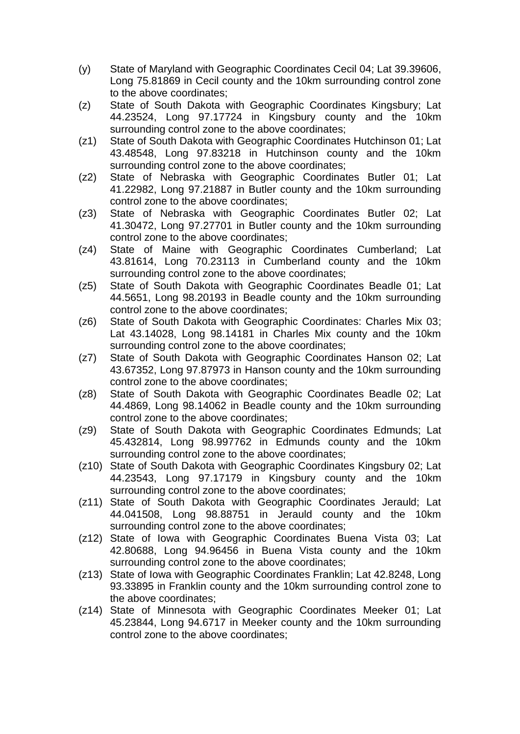- (y) State of Maryland with Geographic Coordinates Cecil 04; Lat 39.39606, Long 75.81869 in Cecil county and the 10km surrounding control zone to the above coordinates;
- (z) State of South Dakota with Geographic Coordinates Kingsbury; Lat 44.23524, Long 97.17724 in Kingsbury county and the 10km surrounding control zone to the above coordinates;
- (z1) State of South Dakota with Geographic Coordinates Hutchinson 01; Lat 43.48548, Long 97.83218 in Hutchinson county and the 10km surrounding control zone to the above coordinates;
- (z2) State of Nebraska with Geographic Coordinates Butler 01; Lat 41.22982, Long 97.21887 in Butler county and the 10km surrounding control zone to the above coordinates;
- (z3) State of Nebraska with Geographic Coordinates Butler 02; Lat 41.30472, Long 97.27701 in Butler county and the 10km surrounding control zone to the above coordinates;
- (z4) State of Maine with Geographic Coordinates Cumberland; Lat 43.81614, Long 70.23113 in Cumberland county and the 10km surrounding control zone to the above coordinates;
- (z5) State of South Dakota with Geographic Coordinates Beadle 01; Lat 44.5651, Long 98.20193 in Beadle county and the 10km surrounding control zone to the above coordinates;
- (z6) State of South Dakota with Geographic Coordinates: Charles Mix 03; Lat 43.14028, Long 98.14181 in Charles Mix county and the 10km surrounding control zone to the above coordinates;
- (z7) State of South Dakota with Geographic Coordinates Hanson 02; Lat 43.67352, Long 97.87973 in Hanson county and the 10km surrounding control zone to the above coordinates;
- (z8) State of South Dakota with Geographic Coordinates Beadle 02; Lat 44.4869, Long 98.14062 in Beadle county and the 10km surrounding control zone to the above coordinates;
- (z9) State of South Dakota with Geographic Coordinates Edmunds; Lat 45.432814, Long 98.997762 in Edmunds county and the 10km surrounding control zone to the above coordinates;
- (z10) State of South Dakota with Geographic Coordinates Kingsbury 02; Lat 44.23543, Long 97.17179 in Kingsbury county and the 10km surrounding control zone to the above coordinates;
- (z11) State of South Dakota with Geographic Coordinates Jerauld; Lat 44.041508, Long 98.88751 in Jerauld county and the 10km surrounding control zone to the above coordinates;
- (z12) State of Iowa with Geographic Coordinates Buena Vista 03; Lat 42.80688, Long 94.96456 in Buena Vista county and the 10km surrounding control zone to the above coordinates;
- (z13) State of Iowa with Geographic Coordinates Franklin; Lat 42.8248, Long 93.33895 in Franklin county and the 10km surrounding control zone to the above coordinates;
- (z14) State of Minnesota with Geographic Coordinates Meeker 01; Lat 45.23844, Long 94.6717 in Meeker county and the 10km surrounding control zone to the above coordinates;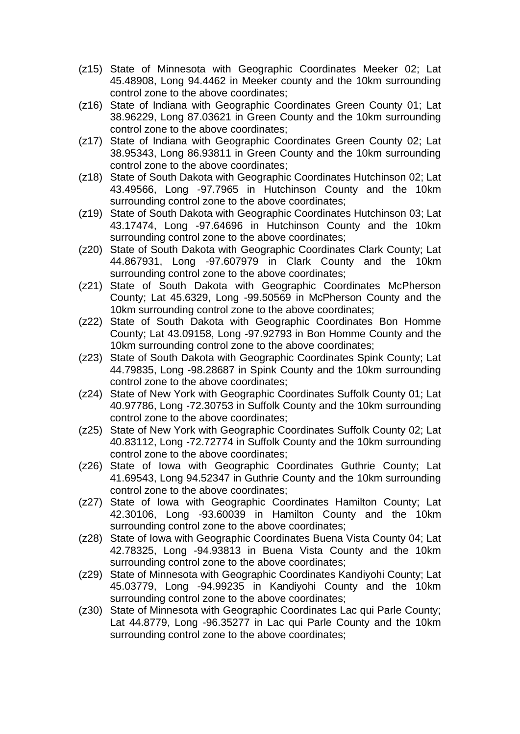- (z15) State of Minnesota with Geographic Coordinates Meeker 02; Lat 45.48908, Long 94.4462 in Meeker county and the 10km surrounding control zone to the above coordinates;
- (z16) State of Indiana with Geographic Coordinates Green County 01; Lat 38.96229, Long 87.03621 in Green County and the 10km surrounding control zone to the above coordinates;
- (z17) State of Indiana with Geographic Coordinates Green County 02; Lat 38.95343, Long 86.93811 in Green County and the 10km surrounding control zone to the above coordinates;
- (z18) State of South Dakota with Geographic Coordinates Hutchinson 02; Lat 43.49566, Long -97.7965 in Hutchinson County and the 10km surrounding control zone to the above coordinates;
- (z19) State of South Dakota with Geographic Coordinates Hutchinson 03; Lat 43.17474, Long -97.64696 in Hutchinson County and the 10km surrounding control zone to the above coordinates;
- (z20) State of South Dakota with Geographic Coordinates Clark County; Lat 44.867931, Long -97.607979 in Clark County and the 10km surrounding control zone to the above coordinates;
- (z21) State of South Dakota with Geographic Coordinates McPherson County; Lat 45.6329, Long -99.50569 in McPherson County and the 10km surrounding control zone to the above coordinates;
- (z22) State of South Dakota with Geographic Coordinates Bon Homme County; Lat 43.09158, Long -97.92793 in Bon Homme County and the 10km surrounding control zone to the above coordinates;
- (z23) State of South Dakota with Geographic Coordinates Spink County; Lat 44.79835, Long -98.28687 in Spink County and the 10km surrounding control zone to the above coordinates;
- (z24) State of New York with Geographic Coordinates Suffolk County 01; Lat 40.97786, Long -72.30753 in Suffolk County and the 10km surrounding control zone to the above coordinates;
- (z25) State of New York with Geographic Coordinates Suffolk County 02; Lat 40.83112, Long -72.72774 in Suffolk County and the 10km surrounding control zone to the above coordinates;
- (z26) State of Iowa with Geographic Coordinates Guthrie County; Lat 41.69543, Long 94.52347 in Guthrie County and the 10km surrounding control zone to the above coordinates;
- (z27) State of Iowa with Geographic Coordinates Hamilton County; Lat 42.30106, Long -93.60039 in Hamilton County and the 10km surrounding control zone to the above coordinates;
- (z28) State of Iowa with Geographic Coordinates Buena Vista County 04; Lat 42.78325, Long -94.93813 in Buena Vista County and the 10km surrounding control zone to the above coordinates;
- (z29) State of Minnesota with Geographic Coordinates Kandiyohi County; Lat 45.03779, Long -94.99235 in Kandiyohi County and the 10km surrounding control zone to the above coordinates;
- (z30) State of Minnesota with Geographic Coordinates Lac qui Parle County; Lat 44.8779, Long -96.35277 in Lac qui Parle County and the 10km surrounding control zone to the above coordinates;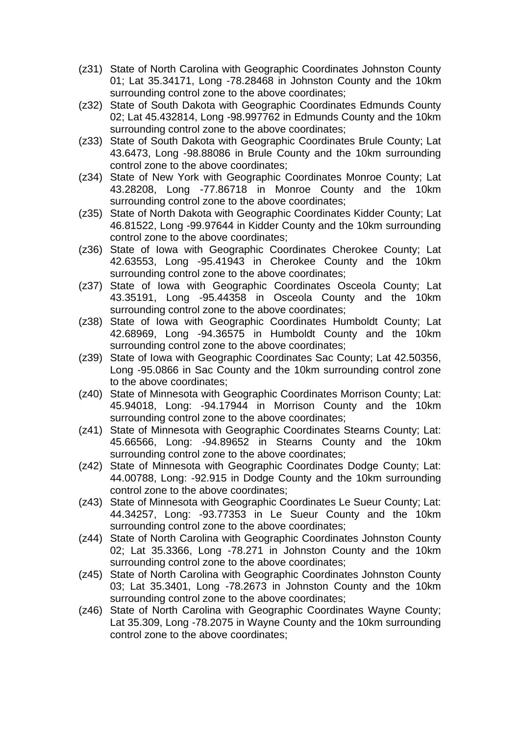- (z31) State of North Carolina with Geographic Coordinates Johnston County 01; Lat 35.34171, Long -78.28468 in Johnston County and the 10km surrounding control zone to the above coordinates;
- (z32) State of South Dakota with Geographic Coordinates Edmunds County 02; Lat 45.432814, Long -98.997762 in Edmunds County and the 10km surrounding control zone to the above coordinates;
- (z33) State of South Dakota with Geographic Coordinates Brule County; Lat 43.6473, Long -98.88086 in Brule County and the 10km surrounding control zone to the above coordinates;
- (z34) State of New York with Geographic Coordinates Monroe County; Lat 43.28208, Long -77.86718 in Monroe County and the 10km surrounding control zone to the above coordinates;
- (z35) State of North Dakota with Geographic Coordinates Kidder County; Lat 46.81522, Long -99.97644 in Kidder County and the 10km surrounding control zone to the above coordinates;
- (z36) State of Iowa with Geographic Coordinates Cherokee County; Lat 42.63553, Long -95.41943 in Cherokee County and the 10km surrounding control zone to the above coordinates;
- (z37) State of Iowa with Geographic Coordinates Osceola County; Lat 43.35191, Long -95.44358 in Osceola County and the 10km surrounding control zone to the above coordinates;
- (z38) State of Iowa with Geographic Coordinates Humboldt County; Lat 42.68969, Long -94.36575 in Humboldt County and the 10km surrounding control zone to the above coordinates;
- (z39) State of Iowa with Geographic Coordinates Sac County; Lat 42.50356, Long -95.0866 in Sac County and the 10km surrounding control zone to the above coordinates;
- (z40) State of Minnesota with Geographic Coordinates Morrison County; Lat: 45.94018, Long: -94.17944 in Morrison County and the 10km surrounding control zone to the above coordinates;
- (z41) State of Minnesota with Geographic Coordinates Stearns County; Lat: 45.66566, Long: -94.89652 in Stearns County and the 10km surrounding control zone to the above coordinates;
- (z42) State of Minnesota with Geographic Coordinates Dodge County; Lat: 44.00788, Long: -92.915 in Dodge County and the 10km surrounding control zone to the above coordinates;
- (z43) State of Minnesota with Geographic Coordinates Le Sueur County; Lat: 44.34257, Long: -93.77353 in Le Sueur County and the 10km surrounding control zone to the above coordinates;
- (z44) State of North Carolina with Geographic Coordinates Johnston County 02; Lat 35.3366, Long -78.271 in Johnston County and the 10km surrounding control zone to the above coordinates;
- (z45) State of North Carolina with Geographic Coordinates Johnston County 03; Lat 35.3401, Long -78.2673 in Johnston County and the 10km surrounding control zone to the above coordinates;
- (z46) State of North Carolina with Geographic Coordinates Wayne County; Lat 35.309, Long -78.2075 in Wayne County and the 10km surrounding control zone to the above coordinates;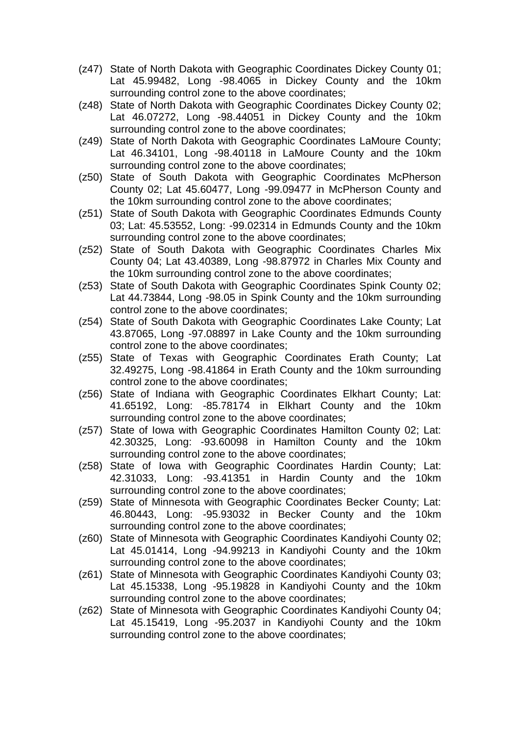- (z47) State of North Dakota with Geographic Coordinates Dickey County 01; Lat 45.99482, Long -98.4065 in Dickey County and the 10km surrounding control zone to the above coordinates;
- (z48) State of North Dakota with Geographic Coordinates Dickey County 02; Lat 46.07272, Long -98.44051 in Dickey County and the 10km surrounding control zone to the above coordinates;
- (z49) State of North Dakota with Geographic Coordinates LaMoure County; Lat 46.34101, Long -98.40118 in LaMoure County and the 10km surrounding control zone to the above coordinates;
- (z50) State of South Dakota with Geographic Coordinates McPherson County 02; Lat 45.60477, Long -99.09477 in McPherson County and the 10km surrounding control zone to the above coordinates;
- (z51) State of South Dakota with Geographic Coordinates Edmunds County 03; Lat: 45.53552, Long: -99.02314 in Edmunds County and the 10km surrounding control zone to the above coordinates;
- (z52) State of South Dakota with Geographic Coordinates Charles Mix County 04; Lat 43.40389, Long -98.87972 in Charles Mix County and the 10km surrounding control zone to the above coordinates;
- (z53) State of South Dakota with Geographic Coordinates Spink County 02; Lat 44.73844, Long -98.05 in Spink County and the 10km surrounding control zone to the above coordinates;
- (z54) State of South Dakota with Geographic Coordinates Lake County; Lat 43.87065, Long -97.08897 in Lake County and the 10km surrounding control zone to the above coordinates;
- (z55) State of Texas with Geographic Coordinates Erath County; Lat 32.49275, Long -98.41864 in Erath County and the 10km surrounding control zone to the above coordinates;
- (z56) State of Indiana with Geographic Coordinates Elkhart County; Lat: 41.65192, Long: -85.78174 in Elkhart County and the 10km surrounding control zone to the above coordinates;
- (z57) State of Iowa with Geographic Coordinates Hamilton County 02; Lat: 42.30325, Long: -93.60098 in Hamilton County and the 10km surrounding control zone to the above coordinates;
- (z58) State of Iowa with Geographic Coordinates Hardin County; Lat: 42.31033, Long: -93.41351 in Hardin County and the 10km surrounding control zone to the above coordinates;
- (z59) State of Minnesota with Geographic Coordinates Becker County; Lat: 46.80443, Long: -95.93032 in Becker County and the 10km surrounding control zone to the above coordinates;
- (z60) State of Minnesota with Geographic Coordinates Kandiyohi County 02; Lat 45.01414, Long -94.99213 in Kandiyohi County and the 10km surrounding control zone to the above coordinates;
- (z61) State of Minnesota with Geographic Coordinates Kandiyohi County 03; Lat 45.15338, Long -95.19828 in Kandiyohi County and the 10km surrounding control zone to the above coordinates;
- (z62) State of Minnesota with Geographic Coordinates Kandiyohi County 04; Lat 45.15419, Long -95.2037 in Kandiyohi County and the 10km surrounding control zone to the above coordinates;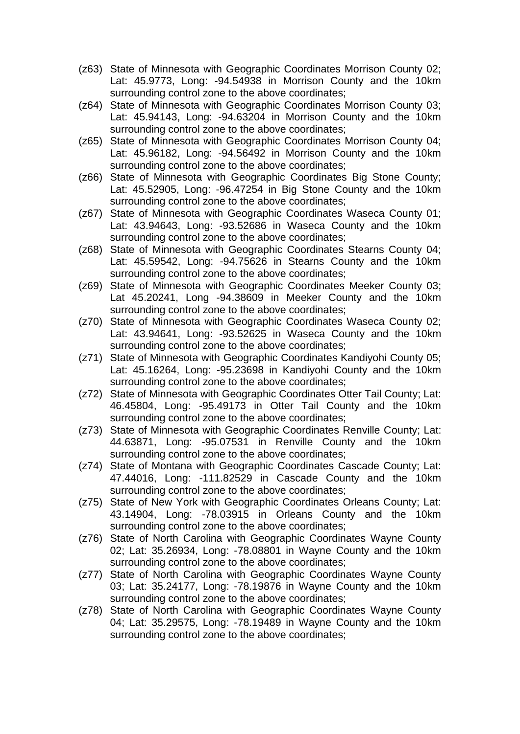- (z63) State of Minnesota with Geographic Coordinates Morrison County 02; Lat: 45.9773, Long: -94.54938 in Morrison County and the 10km surrounding control zone to the above coordinates;
- (z64) State of Minnesota with Geographic Coordinates Morrison County 03; Lat: 45.94143, Long: -94.63204 in Morrison County and the 10km surrounding control zone to the above coordinates;
- (z65) State of Minnesota with Geographic Coordinates Morrison County 04; Lat: 45.96182, Long: -94.56492 in Morrison County and the 10km surrounding control zone to the above coordinates;
- (z66) State of Minnesota with Geographic Coordinates Big Stone County; Lat: 45.52905, Long: -96.47254 in Big Stone County and the 10km surrounding control zone to the above coordinates;
- (z67) State of Minnesota with Geographic Coordinates Waseca County 01; Lat: 43.94643, Long: -93.52686 in Waseca County and the 10km surrounding control zone to the above coordinates;
- (z68) State of Minnesota with Geographic Coordinates Stearns County 04; Lat: 45.59542, Long: -94.75626 in Stearns County and the 10km surrounding control zone to the above coordinates;
- (z69) State of Minnesota with Geographic Coordinates Meeker County 03; Lat 45.20241, Long -94.38609 in Meeker County and the 10km surrounding control zone to the above coordinates;
- (z70) State of Minnesota with Geographic Coordinates Waseca County 02; Lat: 43.94641, Long: -93.52625 in Waseca County and the 10km surrounding control zone to the above coordinates;
- (z71) State of Minnesota with Geographic Coordinates Kandiyohi County 05; Lat: 45.16264, Long: -95.23698 in Kandiyohi County and the 10km surrounding control zone to the above coordinates;
- (z72) State of Minnesota with Geographic Coordinates Otter Tail County; Lat: 46.45804, Long: -95.49173 in Otter Tail County and the 10km surrounding control zone to the above coordinates;
- (z73) State of Minnesota with Geographic Coordinates Renville County; Lat: 44.63871, Long: -95.07531 in Renville County and the 10km surrounding control zone to the above coordinates;
- (z74) State of Montana with Geographic Coordinates Cascade County; Lat: 47.44016, Long: -111.82529 in Cascade County and the 10km surrounding control zone to the above coordinates;
- (z75) State of New York with Geographic Coordinates Orleans County; Lat: 43.14904, Long: -78.03915 in Orleans County and the 10km surrounding control zone to the above coordinates;
- (z76) State of North Carolina with Geographic Coordinates Wayne County 02; Lat: 35.26934, Long: -78.08801 in Wayne County and the 10km surrounding control zone to the above coordinates;
- (z77) State of North Carolina with Geographic Coordinates Wayne County 03; Lat: 35.24177, Long: -78.19876 in Wayne County and the 10km surrounding control zone to the above coordinates;
- (z78) State of North Carolina with Geographic Coordinates Wayne County 04; Lat: 35.29575, Long: -78.19489 in Wayne County and the 10km surrounding control zone to the above coordinates;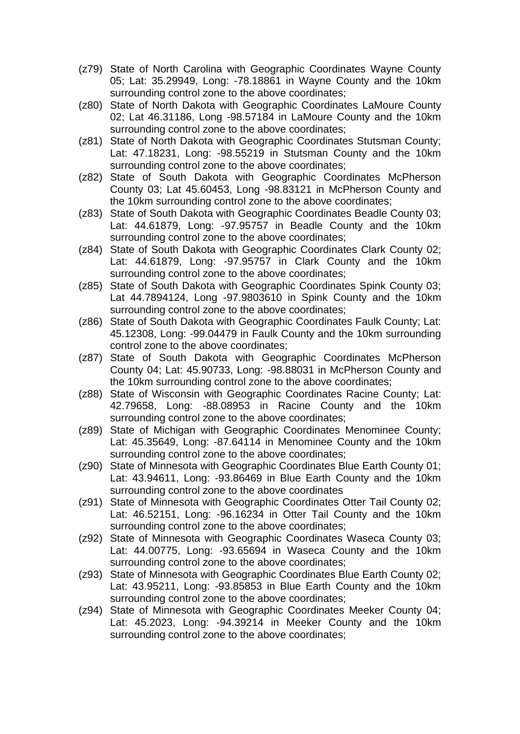- (z79) State of North Carolina with Geographic Coordinates Wayne County 05; Lat: 35.29949, Long: -78.18861 in Wayne County and the 10km surrounding control zone to the above coordinates;
- (z80) State of North Dakota with Geographic Coordinates LaMoure County 02; Lat 46.31186, Long -98.57184 in LaMoure County and the 10km surrounding control zone to the above coordinates;
- (z81) State of North Dakota with Geographic Coordinates Stutsman County; Lat: 47.18231, Long: -98.55219 in Stutsman County and the 10km surrounding control zone to the above coordinates;
- (z82) State of South Dakota with Geographic Coordinates McPherson County 03; Lat 45.60453, Long -98.83121 in McPherson County and the 10km surrounding control zone to the above coordinates;
- (z83) State of South Dakota with Geographic Coordinates Beadle County 03; Lat: 44.61879, Long: -97.95757 in Beadle County and the 10km surrounding control zone to the above coordinates;
- (z84) State of South Dakota with Geographic Coordinates Clark County 02; Lat: 44.61879, Long: -97.95757 in Clark County and the 10km surrounding control zone to the above coordinates;
- (z85) State of South Dakota with Geographic Coordinates Spink County 03; Lat 44.7894124, Long -97.9803610 in Spink County and the 10km surrounding control zone to the above coordinates;
- (z86) State of South Dakota with Geographic Coordinates Faulk County; Lat: 45.12308, Long: -99.04479 in Faulk County and the 10km surrounding control zone to the above coordinates;
- (z87) State of South Dakota with Geographic Coordinates McPherson County 04; Lat: 45.90733, Long: -98.88031 in McPherson County and the 10km surrounding control zone to the above coordinates;
- (z88) State of Wisconsin with Geographic Coordinates Racine County; Lat: 42.79658, Long: -88.08953 in Racine County and the 10km surrounding control zone to the above coordinates;
- (z89) State of Michigan with Geographic Coordinates Menominee County; Lat: 45.35649, Long: -87.64114 in Menominee County and the 10km surrounding control zone to the above coordinates;
- (z90) State of Minnesota with Geographic Coordinates Blue Earth County 01; Lat: 43.94611, Long: -93.86469 in Blue Earth County and the 10km surrounding control zone to the above coordinates
- (z91) State of Minnesota with Geographic Coordinates Otter Tail County 02; Lat: 46.52151, Long: -96.16234 in Otter Tail County and the 10km surrounding control zone to the above coordinates;
- (z92) State of Minnesota with Geographic Coordinates Waseca County 03; Lat: 44.00775, Long: -93.65694 in Waseca County and the 10km surrounding control zone to the above coordinates;
- (z93) State of Minnesota with Geographic Coordinates Blue Earth County 02; Lat: 43.95211, Long: -93.85853 in Blue Earth County and the 10km surrounding control zone to the above coordinates;
- (z94) State of Minnesota with Geographic Coordinates Meeker County 04; Lat: 45.2023, Long: -94.39214 in Meeker County and the 10km surrounding control zone to the above coordinates;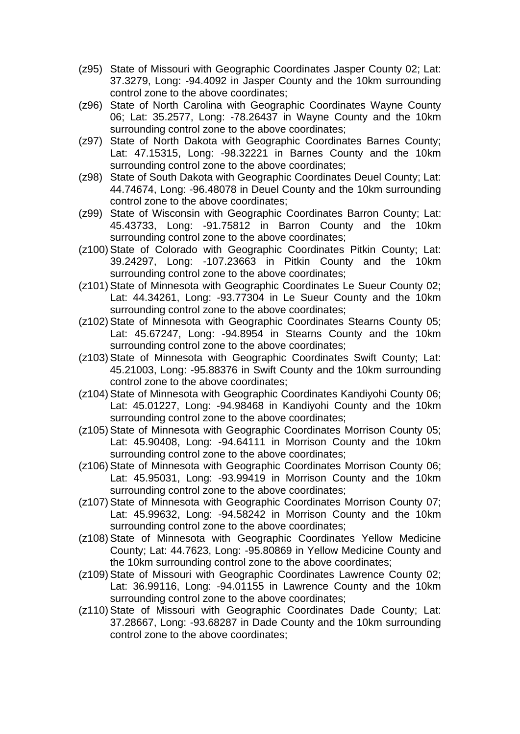- (z95) State of Missouri with Geographic Coordinates Jasper County 02; Lat: 37.3279, Long: -94.4092 in Jasper County and the 10km surrounding control zone to the above coordinates;
- (z96) State of North Carolina with Geographic Coordinates Wayne County 06; Lat: 35.2577, Long: -78.26437 in Wayne County and the 10km surrounding control zone to the above coordinates;
- (z97) State of North Dakota with Geographic Coordinates Barnes County; Lat: 47.15315, Long: -98.32221 in Barnes County and the 10km surrounding control zone to the above coordinates;
- (z98) State of South Dakota with Geographic Coordinates Deuel County; Lat: 44.74674, Long: -96.48078 in Deuel County and the 10km surrounding control zone to the above coordinates;
- (z99) State of Wisconsin with Geographic Coordinates Barron County; Lat: 45.43733, Long: -91.75812 in Barron County and the 10km surrounding control zone to the above coordinates;
- (z100) State of Colorado with Geographic Coordinates Pitkin County; Lat: 39.24297, Long: -107.23663 in Pitkin County and the 10km surrounding control zone to the above coordinates;
- (z101) State of Minnesota with Geographic Coordinates Le Sueur County 02; Lat: 44.34261, Long: -93.77304 in Le Sueur County and the 10km surrounding control zone to the above coordinates;
- (z102) State of Minnesota with Geographic Coordinates Stearns County 05; Lat: 45.67247, Long: -94.8954 in Stearns County and the 10km surrounding control zone to the above coordinates;
- (z103) State of Minnesota with Geographic Coordinates Swift County; Lat: 45.21003, Long: -95.88376 in Swift County and the 10km surrounding control zone to the above coordinates;
- (z104) State of Minnesota with Geographic Coordinates Kandiyohi County 06; Lat: 45.01227, Long: -94.98468 in Kandiyohi County and the 10km surrounding control zone to the above coordinates;
- (z105) State of Minnesota with Geographic Coordinates Morrison County 05; Lat: 45.90408, Long: -94.64111 in Morrison County and the 10km surrounding control zone to the above coordinates;
- (z106) State of Minnesota with Geographic Coordinates Morrison County 06; Lat: 45.95031, Long: -93.99419 in Morrison County and the 10km surrounding control zone to the above coordinates;
- (z107) State of Minnesota with Geographic Coordinates Morrison County 07; Lat: 45.99632, Long: -94.58242 in Morrison County and the 10km surrounding control zone to the above coordinates;
- (z108)State of Minnesota with Geographic Coordinates Yellow Medicine County; Lat: 44.7623, Long: -95.80869 in Yellow Medicine County and the 10km surrounding control zone to the above coordinates;
- (z109) State of Missouri with Geographic Coordinates Lawrence County 02; Lat: 36.99116, Long: -94.01155 in Lawrence County and the 10km surrounding control zone to the above coordinates;
- (z110) State of Missouri with Geographic Coordinates Dade County; Lat: 37.28667, Long: -93.68287 in Dade County and the 10km surrounding control zone to the above coordinates;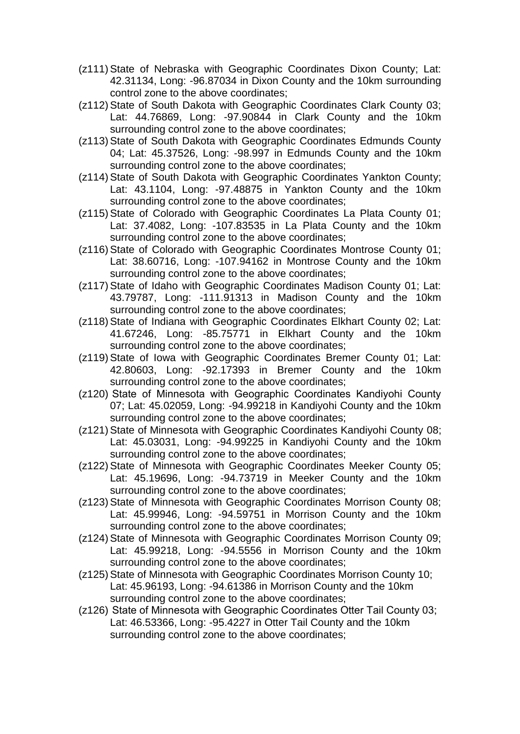- (z111)State of Nebraska with Geographic Coordinates Dixon County; Lat: 42.31134, Long: -96.87034 in Dixon County and the 10km surrounding control zone to the above coordinates;
- (z112) State of South Dakota with Geographic Coordinates Clark County 03; Lat: 44.76869, Long: -97.90844 in Clark County and the 10km surrounding control zone to the above coordinates;
- (z113) State of South Dakota with Geographic Coordinates Edmunds County 04; Lat: 45.37526, Long: -98.997 in Edmunds County and the 10km surrounding control zone to the above coordinates;
- (z114) State of South Dakota with Geographic Coordinates Yankton County; Lat: 43.1104, Long: -97.48875 in Yankton County and the 10km surrounding control zone to the above coordinates;
- (z115) State of Colorado with Geographic Coordinates La Plata County 01; Lat: 37.4082, Long: -107.83535 in La Plata County and the 10km surrounding control zone to the above coordinates;
- (z116) State of Colorado with Geographic Coordinates Montrose County 01; Lat: 38.60716, Long: -107.94162 in Montrose County and the 10km surrounding control zone to the above coordinates;
- (z117) State of Idaho with Geographic Coordinates Madison County 01; Lat: 43.79787, Long: -111.91313 in Madison County and the 10km surrounding control zone to the above coordinates;
- (z118) State of Indiana with Geographic Coordinates Elkhart County 02; Lat: 41.67246, Long: -85.75771 in Elkhart County and the 10km surrounding control zone to the above coordinates;
- (z119) State of Iowa with Geographic Coordinates Bremer County 01; Lat: 42.80603, Long: -92.17393 in Bremer County and the 10km surrounding control zone to the above coordinates;
- (z120) State of Minnesota with Geographic Coordinates Kandiyohi County 07; Lat: 45.02059, Long: -94.99218 in Kandiyohi County and the 10km surrounding control zone to the above coordinates;
- (z121)State of Minnesota with Geographic Coordinates Kandiyohi County 08; Lat: 45.03031, Long: -94.99225 in Kandiyohi County and the 10km surrounding control zone to the above coordinates;
- (z122) State of Minnesota with Geographic Coordinates Meeker County 05; Lat: 45.19696, Long: -94.73719 in Meeker County and the 10km surrounding control zone to the above coordinates;
- (z123) State of Minnesota with Geographic Coordinates Morrison County 08; Lat: 45.99946, Long: -94.59751 in Morrison County and the 10km surrounding control zone to the above coordinates;
- (z124) State of Minnesota with Geographic Coordinates Morrison County 09; Lat: 45.99218, Long: -94.5556 in Morrison County and the 10km surrounding control zone to the above coordinates;
- (z125) State of Minnesota with Geographic Coordinates Morrison County 10; Lat: 45.96193, Long: -94.61386 in Morrison County and the 10km surrounding control zone to the above coordinates;
- (z126) State of Minnesota with Geographic Coordinates Otter Tail County 03; Lat: 46.53366, Long: -95.4227 in Otter Tail County and the 10km surrounding control zone to the above coordinates;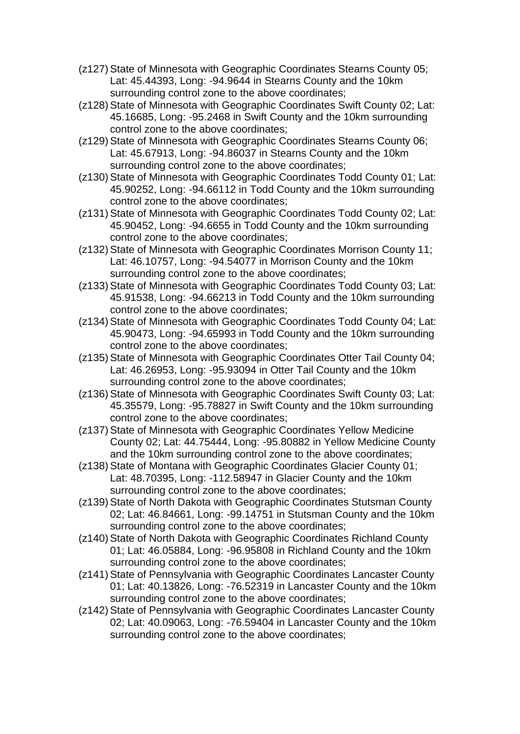- (z127)State of Minnesota with Geographic Coordinates Stearns County 05; Lat: 45.44393, Long: -94.9644 in Stearns County and the 10km surrounding control zone to the above coordinates;
- (z128) State of Minnesota with Geographic Coordinates Swift County 02; Lat: 45.16685, Long: -95.2468 in Swift County and the 10km surrounding control zone to the above coordinates;
- (z129) State of Minnesota with Geographic Coordinates Stearns County 06; Lat: 45.67913, Long: -94.86037 in Stearns County and the 10km surrounding control zone to the above coordinates;
- (z130) State of Minnesota with Geographic Coordinates Todd County 01; Lat: 45.90252, Long: -94.66112 in Todd County and the 10km surrounding control zone to the above coordinates;
- (z131) State of Minnesota with Geographic Coordinates Todd County 02; Lat: 45.90452, Long: -94.6655 in Todd County and the 10km surrounding control zone to the above coordinates;
- (z132) State of Minnesota with Geographic Coordinates Morrison County 11; Lat: 46.10757, Long: -94.54077 in Morrison County and the 10km surrounding control zone to the above coordinates;
- (z133) State of Minnesota with Geographic Coordinates Todd County 03; Lat: 45.91538, Long: -94.66213 in Todd County and the 10km surrounding control zone to the above coordinates;
- (z134) State of Minnesota with Geographic Coordinates Todd County 04; Lat: 45.90473, Long: -94.65993 in Todd County and the 10km surrounding control zone to the above coordinates;
- (z135) State of Minnesota with Geographic Coordinates Otter Tail County 04; Lat: 46.26953, Long: -95.93094 in Otter Tail County and the 10km surrounding control zone to the above coordinates;
- (z136) State of Minnesota with Geographic Coordinates Swift County 03; Lat: 45.35579, Long: -95.78827 in Swift County and the 10km surrounding control zone to the above coordinates;
- (z137) State of Minnesota with Geographic Coordinates Yellow Medicine County 02; Lat: 44.75444, Long: -95.80882 in Yellow Medicine County and the 10km surrounding control zone to the above coordinates;
- (z138) State of Montana with Geographic Coordinates Glacier County 01; Lat: 48.70395, Long: -112.58947 in Glacier County and the 10km surrounding control zone to the above coordinates;
- (z139) State of North Dakota with Geographic Coordinates Stutsman County 02; Lat: 46.84661, Long: -99.14751 in Stutsman County and the 10km surrounding control zone to the above coordinates;
- (z140) State of North Dakota with Geographic Coordinates Richland County 01; Lat: 46.05884, Long: -96.95808 in Richland County and the 10km surrounding control zone to the above coordinates;
- (z141) State of Pennsylvania with Geographic Coordinates Lancaster County 01; Lat: 40.13826, Long: -76.52319 in Lancaster County and the 10km surrounding control zone to the above coordinates;
- (z142) State of Pennsylvania with Geographic Coordinates Lancaster County 02; Lat: 40.09063, Long: -76.59404 in Lancaster County and the 10km surrounding control zone to the above coordinates;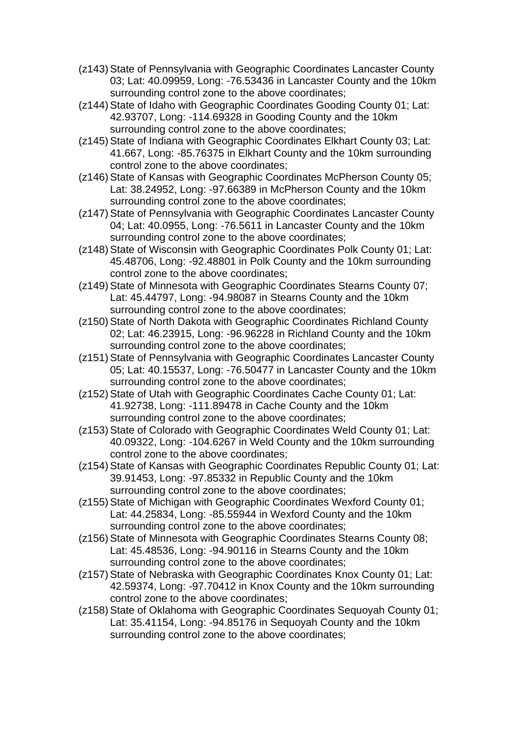- (z143) State of Pennsylvania with Geographic Coordinates Lancaster County 03; Lat: 40.09959, Long: -76.53436 in Lancaster County and the 10km surrounding control zone to the above coordinates;
- (z144) State of Idaho with Geographic Coordinates Gooding County 01; Lat: 42.93707, Long: -114.69328 in Gooding County and the 10km surrounding control zone to the above coordinates;
- (z145) State of Indiana with Geographic Coordinates Elkhart County 03; Lat: 41.667, Long: -85.76375 in Elkhart County and the 10km surrounding control zone to the above coordinates;
- (z146) State of Kansas with Geographic Coordinates McPherson County 05; Lat: 38.24952, Long: -97.66389 in McPherson County and the 10km surrounding control zone to the above coordinates;
- (z147) State of Pennsylvania with Geographic Coordinates Lancaster County 04; Lat: 40.0955, Long: -76.5611 in Lancaster County and the 10km surrounding control zone to the above coordinates;
- (z148) State of Wisconsin with Geographic Coordinates Polk County 01; Lat: 45.48706, Long: -92.48801 in Polk County and the 10km surrounding control zone to the above coordinates;
- (z149) State of Minnesota with Geographic Coordinates Stearns County 07; Lat: 45.44797, Long: -94.98087 in Stearns County and the 10km surrounding control zone to the above coordinates;
- (z150) State of North Dakota with Geographic Coordinates Richland County 02; Lat: 46.23915, Long: -96.96228 in Richland County and the 10km surrounding control zone to the above coordinates;
- (z151) State of Pennsylvania with Geographic Coordinates Lancaster County 05; Lat: 40.15537, Long: -76.50477 in Lancaster County and the 10km surrounding control zone to the above coordinates;
- (z152) State of Utah with Geographic Coordinates Cache County 01; Lat: 41.92738, Long: -111.89478 in Cache County and the 10km surrounding control zone to the above coordinates;
- (z153) State of Colorado with Geographic Coordinates Weld County 01; Lat: 40.09322, Long: -104.6267 in Weld County and the 10km surrounding control zone to the above coordinates;
- (z154) State of Kansas with Geographic Coordinates Republic County 01; Lat: 39.91453, Long: -97.85332 in Republic County and the 10km surrounding control zone to the above coordinates;
- (z155) State of Michigan with Geographic Coordinates Wexford County 01; Lat: 44.25834, Long: -85.55944 in Wexford County and the 10km surrounding control zone to the above coordinates;
- (z156) State of Minnesota with Geographic Coordinates Stearns County 08; Lat: 45.48536, Long: -94.90116 in Stearns County and the 10km surrounding control zone to the above coordinates;
- (z157) State of Nebraska with Geographic Coordinates Knox County 01; Lat: 42.59374, Long: -97.70412 in Knox County and the 10km surrounding control zone to the above coordinates;
- (z158) State of Oklahoma with Geographic Coordinates Sequoyah County 01; Lat: 35.41154, Long: -94.85176 in Sequoyah County and the 10km surrounding control zone to the above coordinates;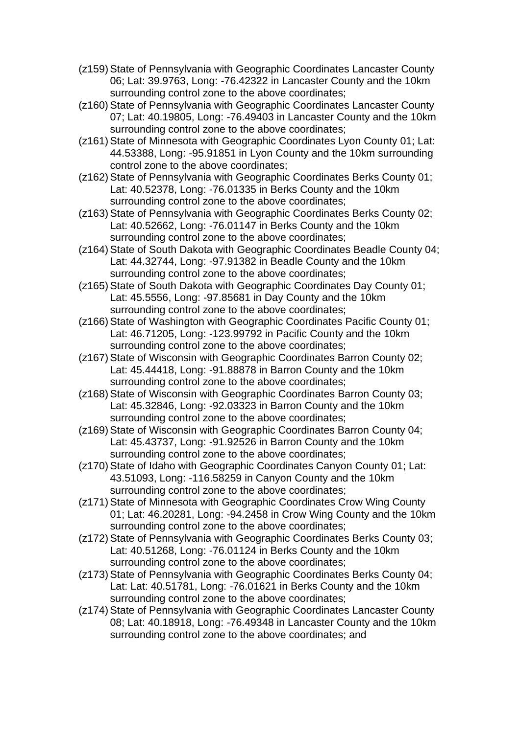- (z159) State of Pennsylvania with Geographic Coordinates Lancaster County 06; Lat: 39.9763, Long: -76.42322 in Lancaster County and the 10km surrounding control zone to the above coordinates;
- (z160) State of Pennsylvania with Geographic Coordinates Lancaster County 07; Lat: 40.19805, Long: -76.49403 in Lancaster County and the 10km surrounding control zone to the above coordinates;
- (z161) State of Minnesota with Geographic Coordinates Lyon County 01; Lat: 44.53388, Long: -95.91851 in Lyon County and the 10km surrounding control zone to the above coordinates;
- (z162) State of Pennsylvania with Geographic Coordinates Berks County 01; Lat: 40.52378, Long: -76.01335 in Berks County and the 10km surrounding control zone to the above coordinates;
- (z163) State of Pennsylvania with Geographic Coordinates Berks County 02; Lat: 40.52662, Long: -76.01147 in Berks County and the 10km surrounding control zone to the above coordinates;
- (z164) State of South Dakota with Geographic Coordinates Beadle County 04; Lat: 44.32744, Long: -97.91382 in Beadle County and the 10km surrounding control zone to the above coordinates;
- (z165) State of South Dakota with Geographic Coordinates Day County 01; Lat: 45.5556, Long: -97.85681 in Day County and the 10km surrounding control zone to the above coordinates;
- (z166) State of Washington with Geographic Coordinates Pacific County 01; Lat: 46.71205, Long: -123.99792 in Pacific County and the 10km surrounding control zone to the above coordinates;
- (z167) State of Wisconsin with Geographic Coordinates Barron County 02; Lat: 45.44418, Long: -91.88878 in Barron County and the 10km surrounding control zone to the above coordinates;
- (z168) State of Wisconsin with Geographic Coordinates Barron County 03; Lat: 45.32846, Long: -92.03323 in Barron County and the 10km surrounding control zone to the above coordinates;
- (z169) State of Wisconsin with Geographic Coordinates Barron County 04; Lat: 45.43737, Long: -91.92526 in Barron County and the 10km surrounding control zone to the above coordinates;
- (z170) State of Idaho with Geographic Coordinates Canyon County 01; Lat: 43.51093, Long: -116.58259 in Canyon County and the 10km surrounding control zone to the above coordinates;
- (z171) State of Minnesota with Geographic Coordinates Crow Wing County 01; Lat: 46.20281, Long: -94.2458 in Crow Wing County and the 10km surrounding control zone to the above coordinates;
- (z172) State of Pennsylvania with Geographic Coordinates Berks County 03; Lat: 40.51268, Long: -76.01124 in Berks County and the 10km surrounding control zone to the above coordinates;
- (z173) State of Pennsylvania with Geographic Coordinates Berks County 04; Lat: Lat: 40.51781, Long: -76.01621 in Berks County and the 10km surrounding control zone to the above coordinates;
- (z174) State of Pennsylvania with Geographic Coordinates Lancaster County 08; Lat: 40.18918, Long: -76.49348 in Lancaster County and the 10km surrounding control zone to the above coordinates; and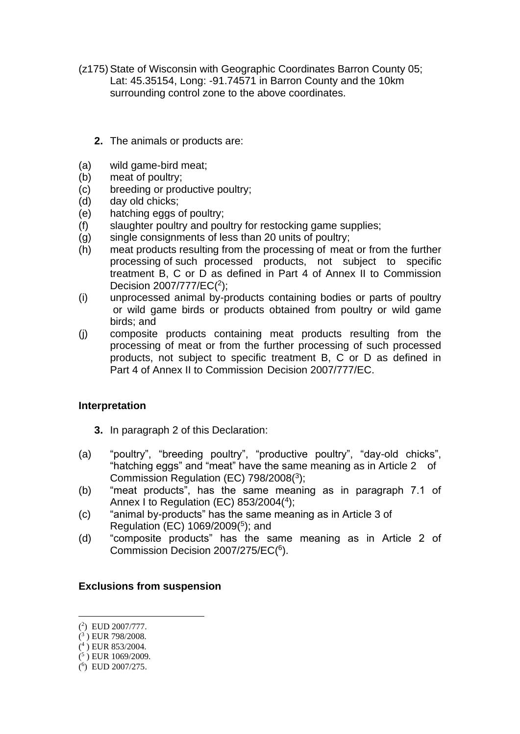- (z175) State of Wisconsin with Geographic Coordinates Barron County 05; Lat: 45.35154, Long: -91.74571 in Barron County and the 10km surrounding control zone to the above coordinates.
	- **2.** The animals or products are:
- (a) wild game-bird meat;
- (b) meat of poultry;
- (c) breeding or productive poultry;
- (d) day old chicks;
- (e) hatching eggs of poultry;
- (f) slaughter poultry and poultry for restocking game supplies;
- (g) single consignments of less than 20 units of poultry;
- (h) meat products resulting from the processing of meat or from the further processing of such processed products, not subject to specific treatment B, C or D as defined in Part 4 of Annex II to Commission Decision 2007/777/EC(<sup>2</sup>);
- (i) unprocessed animal by-products containing bodies or parts of poultry or wild game birds or products obtained from poultry or wild game birds; and
- (j) composite products containing meat products resulting from the processing of meat or from the further processing of such processed products, not subject to specific treatment B, C or D as defined in Part 4 of Annex II to Commission Decision 2007/777/EC.

## **Interpretation**

- **3.** In paragraph 2 of this Declaration:
- (a) "poultry", "breeding poultry", "productive poultry", "day-old chicks", "hatching eggs" and "meat" have the same meaning as in Article 2 of Commission Regulation (EC) 798/2008(<sup>3</sup> );
- (b) "meat products", has the same meaning as in paragraph 7.1 of Annex I to Regulation (EC) 853/2004(4);
- (c) "animal by-products" has the same meaning as in Article 3 of Regulation (EC) 1069/2009(<sup>5</sup> ); and
- (d) "composite products" has the same meaning as in Article 2 of Commission Decision 2007/275/EC(<sup>6</sup>).

## **Exclusions from suspension**

( 4 ) EUR 853/2004.

<sup>(</sup> 2 ) EUD 2007/777.

<sup>(</sup> 3 ) EUR 798/2008.

 $(5)$  EUR 1069/2009.

<sup>(</sup> 6 ) EUD 2007/275.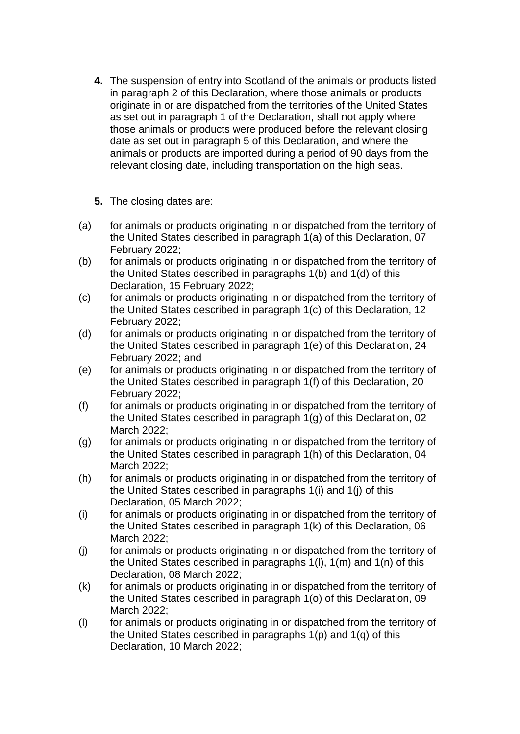- **4.** The suspension of entry into Scotland of the animals or products listed in paragraph 2 of this Declaration, where those animals or products originate in or are dispatched from the territories of the United States as set out in paragraph 1 of the Declaration, shall not apply where those animals or products were produced before the relevant closing date as set out in paragraph 5 of this Declaration, and where the animals or products are imported during a period of 90 days from the relevant closing date, including transportation on the high seas.
- **5.** The closing dates are:
- (a) for animals or products originating in or dispatched from the territory of the United States described in paragraph 1(a) of this Declaration, 07 February 2022;
- (b) for animals or products originating in or dispatched from the territory of the United States described in paragraphs 1(b) and 1(d) of this Declaration, 15 February 2022;
- (c) for animals or products originating in or dispatched from the territory of the United States described in paragraph 1(c) of this Declaration, 12 February 2022;
- (d) for animals or products originating in or dispatched from the territory of the United States described in paragraph 1(e) of this Declaration, 24 February 2022; and
- (e) for animals or products originating in or dispatched from the territory of the United States described in paragraph 1(f) of this Declaration, 20 February 2022;
- (f) for animals or products originating in or dispatched from the territory of the United States described in paragraph 1(g) of this Declaration, 02 March 2022;
- (g) for animals or products originating in or dispatched from the territory of the United States described in paragraph 1(h) of this Declaration, 04 March 2022;
- (h) for animals or products originating in or dispatched from the territory of the United States described in paragraphs 1(i) and 1(j) of this Declaration, 05 March 2022;
- (i) for animals or products originating in or dispatched from the territory of the United States described in paragraph 1(k) of this Declaration, 06 March 2022;
- (j) for animals or products originating in or dispatched from the territory of the United States described in paragraphs 1(l), 1(m) and 1(n) of this Declaration, 08 March 2022;
- (k) for animals or products originating in or dispatched from the territory of the United States described in paragraph 1(o) of this Declaration, 09 March 2022;
- (l) for animals or products originating in or dispatched from the territory of the United States described in paragraphs 1(p) and 1(q) of this Declaration, 10 March 2022;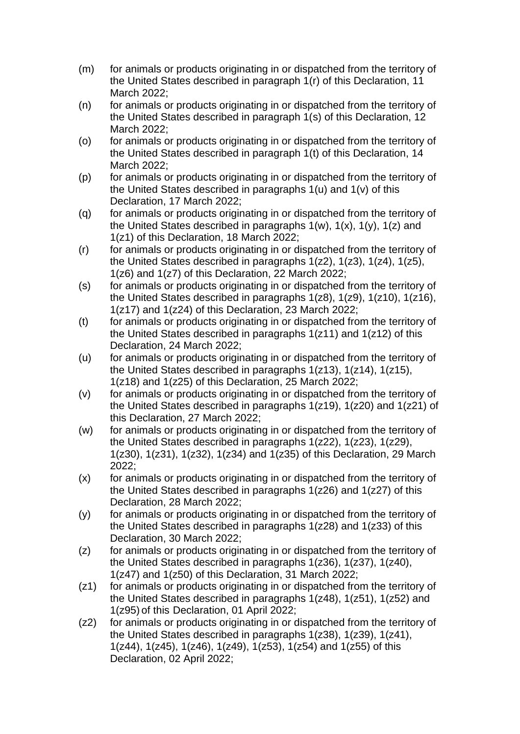- (m) for animals or products originating in or dispatched from the territory of the United States described in paragraph 1(r) of this Declaration, 11 March 2022;
- (n) for animals or products originating in or dispatched from the territory of the United States described in paragraph 1(s) of this Declaration, 12 March 2022;
- (o) for animals or products originating in or dispatched from the territory of the United States described in paragraph 1(t) of this Declaration, 14 March 2022;
- (p) for animals or products originating in or dispatched from the territory of the United States described in paragraphs 1(u) and 1(v) of this Declaration, 17 March 2022;
- (q) for animals or products originating in or dispatched from the territory of the United States described in paragraphs  $1(w)$ ,  $1(x)$ ,  $1(y)$ ,  $1(z)$  and 1(z1) of this Declaration, 18 March 2022;
- (r) for animals or products originating in or dispatched from the territory of the United States described in paragraphs 1(z2), 1(z3), 1(z4), 1(z5), 1(z6) and 1(z7) of this Declaration, 22 March 2022;
- (s) for animals or products originating in or dispatched from the territory of the United States described in paragraphs 1(z8), 1(z9), 1(z10), 1(z16), 1(z17) and 1(z24) of this Declaration, 23 March 2022;
- (t) for animals or products originating in or dispatched from the territory of the United States described in paragraphs 1(z11) and 1(z12) of this Declaration, 24 March 2022;
- (u) for animals or products originating in or dispatched from the territory of the United States described in paragraphs 1(z13), 1(z14), 1(z15), 1(z18) and 1(z25) of this Declaration, 25 March 2022;
- (v) for animals or products originating in or dispatched from the territory of the United States described in paragraphs 1(z19), 1(z20) and 1(z21) of this Declaration, 27 March 2022;
- (w) for animals or products originating in or dispatched from the territory of the United States described in paragraphs 1(z22), 1(z23), 1(z29), 1(z30), 1(z31), 1(z32), 1(z34) and 1(z35) of this Declaration, 29 March 2022;
- (x) for animals or products originating in or dispatched from the territory of the United States described in paragraphs 1(z26) and 1(z27) of this Declaration, 28 March 2022;
- (y) for animals or products originating in or dispatched from the territory of the United States described in paragraphs 1(z28) and 1(z33) of this Declaration, 30 March 2022;
- (z) for animals or products originating in or dispatched from the territory of the United States described in paragraphs 1(z36), 1(z37), 1(z40), 1(z47) and 1(z50) of this Declaration, 31 March 2022;
- (z1) for animals or products originating in or dispatched from the territory of the United States described in paragraphs 1(z48), 1(z51), 1(z52) and 1(z95) of this Declaration, 01 April 2022;
- (z2) for animals or products originating in or dispatched from the territory of the United States described in paragraphs 1(z38), 1(z39), 1(z41), 1(z44), 1(z45), 1(z46), 1(z49), 1(z53), 1(z54) and 1(z55) of this Declaration, 02 April 2022;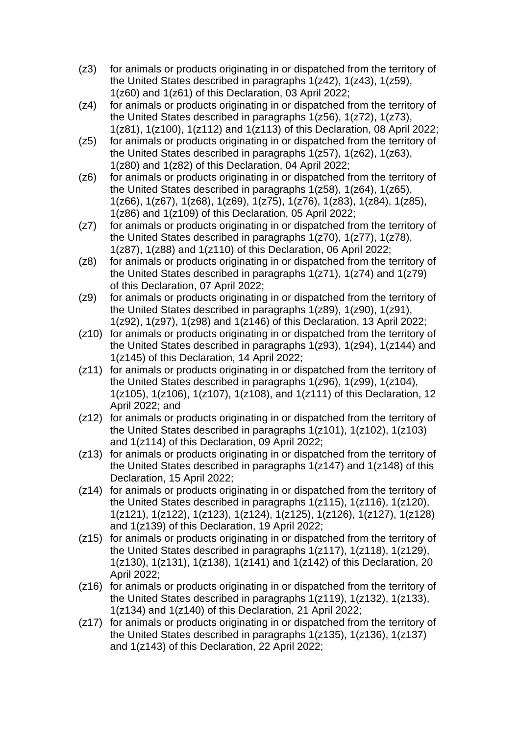- (z3) for animals or products originating in or dispatched from the territory of the United States described in paragraphs 1(z42), 1(z43), 1(z59), 1(z60) and 1(z61) of this Declaration, 03 April 2022;
- (z4) for animals or products originating in or dispatched from the territory of the United States described in paragraphs 1(z56), 1(z72), 1(z73), 1(z81), 1(z100), 1(z112) and 1(z113) of this Declaration, 08 April 2022;
- (z5) for animals or products originating in or dispatched from the territory of the United States described in paragraphs 1(z57), 1(z62), 1(z63), 1(z80) and 1(z82) of this Declaration, 04 April 2022;
- (z6) for animals or products originating in or dispatched from the territory of the United States described in paragraphs 1(z58), 1(z64), 1(z65), 1(z66), 1(z67), 1(z68), 1(z69), 1(z75), 1(z76), 1(z83), 1(z84), 1(z85), 1(z86) and 1(z109) of this Declaration, 05 April 2022;
- (z7) for animals or products originating in or dispatched from the territory of the United States described in paragraphs 1(z70), 1(z77), 1(z78), 1(z87), 1(z88) and 1(z110) of this Declaration, 06 April 2022;
- (z8) for animals or products originating in or dispatched from the territory of the United States described in paragraphs 1(z71), 1(z74) and 1(z79) of this Declaration, 07 April 2022;
- (z9) for animals or products originating in or dispatched from the territory of the United States described in paragraphs 1(z89), 1(z90), 1(z91), 1(z92), 1(z97), 1(z98) and 1(z146) of this Declaration, 13 April 2022;
- (z10) for animals or products originating in or dispatched from the territory of the United States described in paragraphs 1(z93), 1(z94), 1(z144) and 1(z145) of this Declaration, 14 April 2022;
- (z11) for animals or products originating in or dispatched from the territory of the United States described in paragraphs 1(z96), 1(z99), 1(z104), 1(z105), 1(z106), 1(z107), 1(z108), and 1(z111) of this Declaration, 12 April 2022; and
- (z12) for animals or products originating in or dispatched from the territory of the United States described in paragraphs 1(z101), 1(z102), 1(z103) and 1(z114) of this Declaration, 09 April 2022;
- (z13) for animals or products originating in or dispatched from the territory of the United States described in paragraphs 1(z147) and 1(z148) of this Declaration, 15 April 2022;
- (z14) for animals or products originating in or dispatched from the territory of the United States described in paragraphs 1(z115), 1(z116), 1(z120), 1(z121), 1(z122), 1(z123), 1(z124), 1(z125), 1(z126), 1(z127), 1(z128) and 1(z139) of this Declaration, 19 April 2022;
- (z15) for animals or products originating in or dispatched from the territory of the United States described in paragraphs 1(z117), 1(z118), 1(z129), 1(z130), 1(z131), 1(z138), 1(z141) and 1(z142) of this Declaration, 20 April 2022;
- (z16) for animals or products originating in or dispatched from the territory of the United States described in paragraphs 1(z119), 1(z132), 1(z133), 1(z134) and 1(z140) of this Declaration, 21 April 2022;
- (z17) for animals or products originating in or dispatched from the territory of the United States described in paragraphs 1(z135), 1(z136), 1(z137) and 1(z143) of this Declaration, 22 April 2022;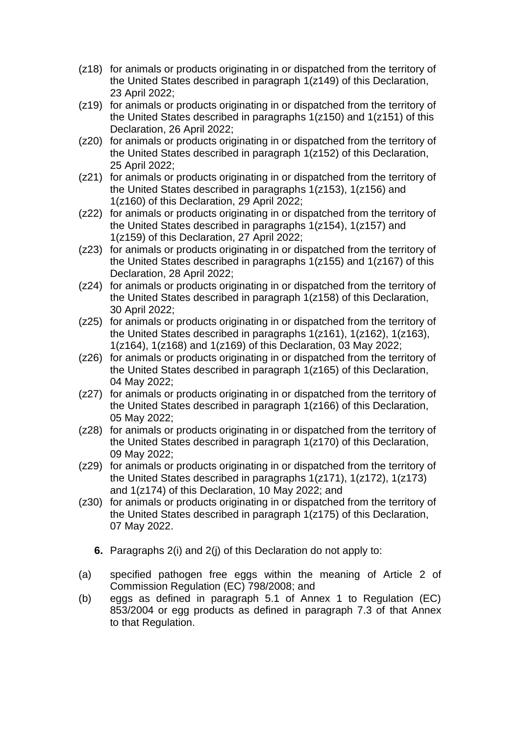- (z18) for animals or products originating in or dispatched from the territory of the United States described in paragraph 1(z149) of this Declaration, 23 April 2022;
- (z19) for animals or products originating in or dispatched from the territory of the United States described in paragraphs 1(z150) and 1(z151) of this Declaration, 26 April 2022;
- (z20) for animals or products originating in or dispatched from the territory of the United States described in paragraph 1(z152) of this Declaration, 25 April 2022;
- (z21) for animals or products originating in or dispatched from the territory of the United States described in paragraphs 1(z153), 1(z156) and 1(z160) of this Declaration, 29 April 2022;
- (z22) for animals or products originating in or dispatched from the territory of the United States described in paragraphs 1(z154), 1(z157) and 1(z159) of this Declaration, 27 April 2022;
- (z23) for animals or products originating in or dispatched from the territory of the United States described in paragraphs 1(z155) and 1(z167) of this Declaration, 28 April 2022;
- (z24) for animals or products originating in or dispatched from the territory of the United States described in paragraph 1(z158) of this Declaration, 30 April 2022;
- (z25) for animals or products originating in or dispatched from the territory of the United States described in paragraphs 1(z161), 1(z162), 1(z163), 1(z164), 1(z168) and 1(z169) of this Declaration, 03 May 2022;
- (z26) for animals or products originating in or dispatched from the territory of the United States described in paragraph 1(z165) of this Declaration, 04 May 2022;
- (z27) for animals or products originating in or dispatched from the territory of the United States described in paragraph 1(z166) of this Declaration, 05 May 2022;
- (z28) for animals or products originating in or dispatched from the territory of the United States described in paragraph 1(z170) of this Declaration, 09 May 2022;
- (z29) for animals or products originating in or dispatched from the territory of the United States described in paragraphs 1(z171), 1(z172), 1(z173) and 1(z174) of this Declaration, 10 May 2022; and
- (z30) for animals or products originating in or dispatched from the territory of the United States described in paragraph 1(z175) of this Declaration, 07 May 2022.
	- **6.** Paragraphs 2(i) and 2(j) of this Declaration do not apply to:
- (a) specified pathogen free eggs within the meaning of Article 2 of Commission Regulation (EC) 798/2008; and
- (b) eggs as defined in paragraph 5.1 of Annex 1 to Regulation (EC) 853/2004 or egg products as defined in paragraph 7.3 of that Annex to that Regulation.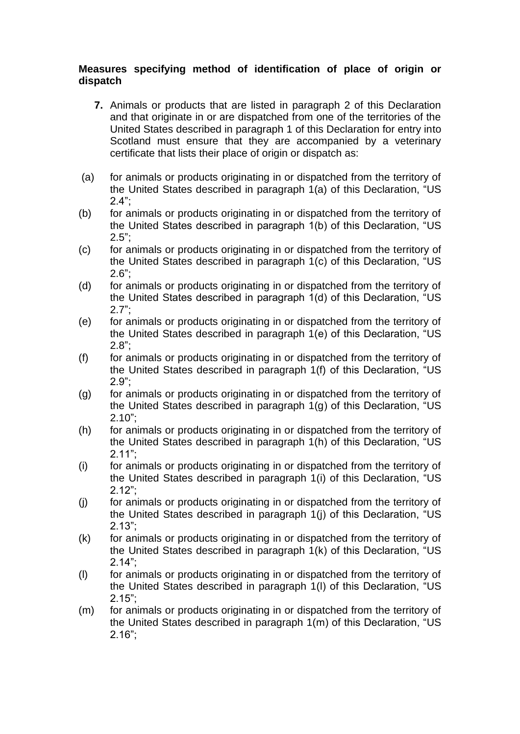# **Measures specifying method of identification of place of origin or dispatch**

- **7.** Animals or products that are listed in paragraph 2 of this Declaration and that originate in or are dispatched from one of the territories of the United States described in paragraph 1 of this Declaration for entry into Scotland must ensure that they are accompanied by a veterinary certificate that lists their place of origin or dispatch as:
- (a) for animals or products originating in or dispatched from the territory of the United States described in paragraph 1(a) of this Declaration, "US 2.4";
- (b) for animals or products originating in or dispatched from the territory of the United States described in paragraph 1(b) of this Declaration, "US  $2.5$ ":
- (c) for animals or products originating in or dispatched from the territory of the United States described in paragraph 1(c) of this Declaration, "US  $2.6"$ :
- (d) for animals or products originating in or dispatched from the territory of the United States described in paragraph 1(d) of this Declaration, "US 2.7";
- (e) for animals or products originating in or dispatched from the territory of the United States described in paragraph 1(e) of this Declaration, "US 2.8";
- (f) for animals or products originating in or dispatched from the territory of the United States described in paragraph 1(f) of this Declaration, "US 2.9";
- (g) for animals or products originating in or dispatched from the territory of the United States described in paragraph 1(g) of this Declaration, "US 2.10";
- (h) for animals or products originating in or dispatched from the territory of the United States described in paragraph 1(h) of this Declaration, "US 2.11";
- (i) for animals or products originating in or dispatched from the territory of the United States described in paragraph 1(i) of this Declaration, "US 2.12";
- (j) for animals or products originating in or dispatched from the territory of the United States described in paragraph 1(j) of this Declaration, "US 2.13";
- (k) for animals or products originating in or dispatched from the territory of the United States described in paragraph 1(k) of this Declaration, "US  $2.14"$
- (l) for animals or products originating in or dispatched from the territory of the United States described in paragraph 1(l) of this Declaration, "US 2.15";
- (m) for animals or products originating in or dispatched from the territory of the United States described in paragraph 1(m) of this Declaration, "US 2.16";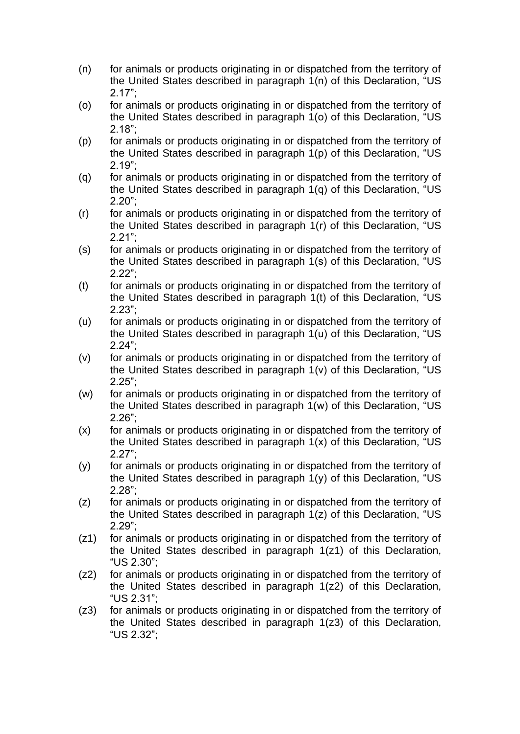- (n) for animals or products originating in or dispatched from the territory of the United States described in paragraph 1(n) of this Declaration, "US 2.17";
- (o) for animals or products originating in or dispatched from the territory of the United States described in paragraph 1(o) of this Declaration, "US 2.18";
- (p) for animals or products originating in or dispatched from the territory of the United States described in paragraph 1(p) of this Declaration, "US 2.19";
- (q) for animals or products originating in or dispatched from the territory of the United States described in paragraph 1(q) of this Declaration, "US 2.20";
- (r) for animals or products originating in or dispatched from the territory of the United States described in paragraph 1(r) of this Declaration, "US 2.21";
- (s) for animals or products originating in or dispatched from the territory of the United States described in paragraph 1(s) of this Declaration, "US 2.22";
- (t) for animals or products originating in or dispatched from the territory of the United States described in paragraph 1(t) of this Declaration, "US 2.23";
- (u) for animals or products originating in or dispatched from the territory of the United States described in paragraph 1(u) of this Declaration, "US 2.24";
- (v) for animals or products originating in or dispatched from the territory of the United States described in paragraph 1(v) of this Declaration, "US 2.25";
- (w) for animals or products originating in or dispatched from the territory of the United States described in paragraph 1(w) of this Declaration, "US 2.26";
- (x) for animals or products originating in or dispatched from the territory of the United States described in paragraph 1(x) of this Declaration, "US 2.27";
- (y) for animals or products originating in or dispatched from the territory of the United States described in paragraph 1(y) of this Declaration, "US 2.28";
- (z) for animals or products originating in or dispatched from the territory of the United States described in paragraph 1(z) of this Declaration, "US 2.29";
- (z1) for animals or products originating in or dispatched from the territory of the United States described in paragraph 1(z1) of this Declaration, "US 2.30";
- (z2) for animals or products originating in or dispatched from the territory of the United States described in paragraph 1(z2) of this Declaration, "US 2.31";
- (z3) for animals or products originating in or dispatched from the territory of the United States described in paragraph 1(z3) of this Declaration, "US 2.32";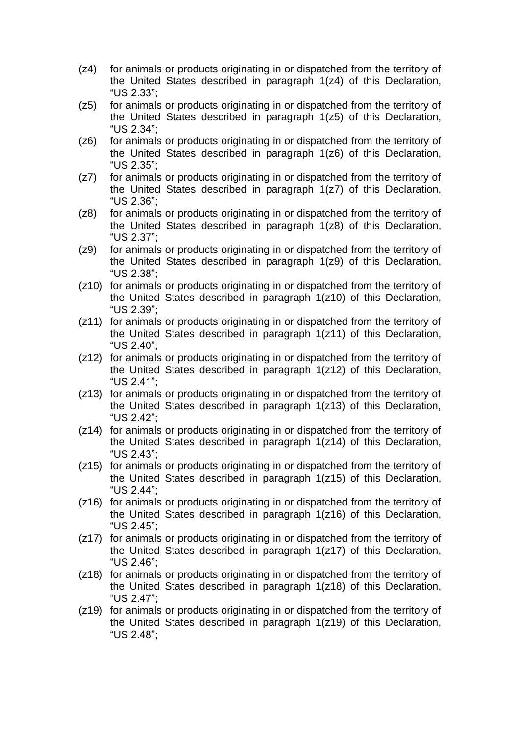- (z4) for animals or products originating in or dispatched from the territory of the United States described in paragraph 1(z4) of this Declaration, "US 2.33";
- (z5) for animals or products originating in or dispatched from the territory of the United States described in paragraph 1(z5) of this Declaration, "US 2.34";
- (z6) for animals or products originating in or dispatched from the territory of the United States described in paragraph 1(z6) of this Declaration, "US 2.35";
- (z7) for animals or products originating in or dispatched from the territory of the United States described in paragraph 1(z7) of this Declaration, "US 2.36";
- (z8) for animals or products originating in or dispatched from the territory of the United States described in paragraph 1(z8) of this Declaration, "US 2.37";
- (z9) for animals or products originating in or dispatched from the territory of the United States described in paragraph 1(z9) of this Declaration, "US 2.38";
- (z10) for animals or products originating in or dispatched from the territory of the United States described in paragraph 1(z10) of this Declaration, "US 2.39";
- (z11) for animals or products originating in or dispatched from the territory of the United States described in paragraph 1(z11) of this Declaration, "US 2.40";
- (z12) for animals or products originating in or dispatched from the territory of the United States described in paragraph 1(z12) of this Declaration, "US 2.41";
- (z13) for animals or products originating in or dispatched from the territory of the United States described in paragraph 1(z13) of this Declaration, "US 2.42";
- (z14) for animals or products originating in or dispatched from the territory of the United States described in paragraph 1(z14) of this Declaration, "US 2.43";
- (z15) for animals or products originating in or dispatched from the territory of the United States described in paragraph 1(z15) of this Declaration, "US 2.44";
- (z16) for animals or products originating in or dispatched from the territory of the United States described in paragraph 1(z16) of this Declaration, "US 2.45";
- (z17) for animals or products originating in or dispatched from the territory of the United States described in paragraph 1(z17) of this Declaration, "US 2.46";
- (z18) for animals or products originating in or dispatched from the territory of the United States described in paragraph 1(z18) of this Declaration, "US 2.47";
- (z19) for animals or products originating in or dispatched from the territory of the United States described in paragraph 1(z19) of this Declaration, "US 2.48";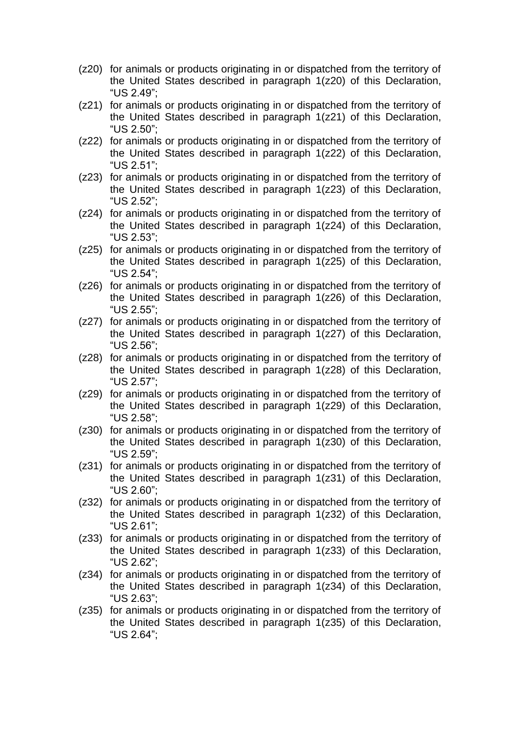- (z20) for animals or products originating in or dispatched from the territory of the United States described in paragraph 1(z20) of this Declaration, "US 2.49";
- (z21) for animals or products originating in or dispatched from the territory of the United States described in paragraph 1(z21) of this Declaration, "US 2.50";
- (z22) for animals or products originating in or dispatched from the territory of the United States described in paragraph 1(z22) of this Declaration, "US 2.51";
- (z23) for animals or products originating in or dispatched from the territory of the United States described in paragraph 1(z23) of this Declaration, "US 2.52";
- (z24) for animals or products originating in or dispatched from the territory of the United States described in paragraph 1(z24) of this Declaration, "US 2.53";
- (z25) for animals or products originating in or dispatched from the territory of the United States described in paragraph 1(z25) of this Declaration, "US 2.54";
- (z26) for animals or products originating in or dispatched from the territory of the United States described in paragraph 1(z26) of this Declaration, "US 2.55";
- (z27) for animals or products originating in or dispatched from the territory of the United States described in paragraph 1(z27) of this Declaration, "US 2.56";
- (z28) for animals or products originating in or dispatched from the territory of the United States described in paragraph 1(z28) of this Declaration, "US 2.57";
- (z29) for animals or products originating in or dispatched from the territory of the United States described in paragraph 1(z29) of this Declaration, "US 2.58";
- (z30) for animals or products originating in or dispatched from the territory of the United States described in paragraph 1(z30) of this Declaration, "US 2.59";
- (z31) for animals or products originating in or dispatched from the territory of the United States described in paragraph 1(z31) of this Declaration, "US 2.60";
- (z32) for animals or products originating in or dispatched from the territory of the United States described in paragraph 1(z32) of this Declaration, "US 2.61";
- (z33) for animals or products originating in or dispatched from the territory of the United States described in paragraph 1(z33) of this Declaration, "US 2.62";
- (z34) for animals or products originating in or dispatched from the territory of the United States described in paragraph 1(z34) of this Declaration, "US 2.63";
- (z35) for animals or products originating in or dispatched from the territory of the United States described in paragraph 1(z35) of this Declaration, "US 2.64";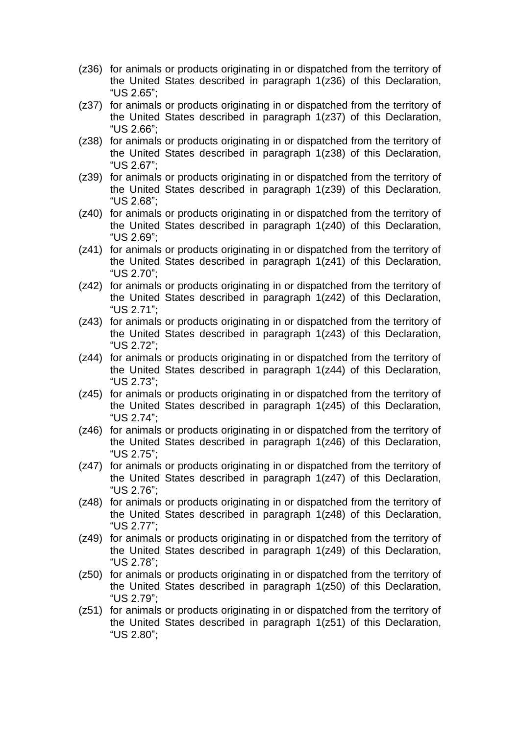- (z36) for animals or products originating in or dispatched from the territory of the United States described in paragraph 1(z36) of this Declaration, "US 2.65";
- (z37) for animals or products originating in or dispatched from the territory of the United States described in paragraph 1(z37) of this Declaration, "US 2.66";
- (z38) for animals or products originating in or dispatched from the territory of the United States described in paragraph 1(z38) of this Declaration, "US 2.67";
- (z39) for animals or products originating in or dispatched from the territory of the United States described in paragraph 1(z39) of this Declaration, "US 2.68";
- (z40) for animals or products originating in or dispatched from the territory of the United States described in paragraph 1(z40) of this Declaration, "US 2.69";
- (z41) for animals or products originating in or dispatched from the territory of the United States described in paragraph 1(z41) of this Declaration, "US 2.70";
- (z42) for animals or products originating in or dispatched from the territory of the United States described in paragraph 1(z42) of this Declaration, "US 2.71";
- (z43) for animals or products originating in or dispatched from the territory of the United States described in paragraph 1(z43) of this Declaration, "US 2.72";
- (z44) for animals or products originating in or dispatched from the territory of the United States described in paragraph 1(z44) of this Declaration, "US 2.73";
- (z45) for animals or products originating in or dispatched from the territory of the United States described in paragraph 1(z45) of this Declaration, "US 2.74";
- (z46) for animals or products originating in or dispatched from the territory of the United States described in paragraph 1(z46) of this Declaration, "US 2.75";
- (z47) for animals or products originating in or dispatched from the territory of the United States described in paragraph 1(z47) of this Declaration, "US 2.76";
- (z48) for animals or products originating in or dispatched from the territory of the United States described in paragraph 1(z48) of this Declaration, "US 2.77";
- (z49) for animals or products originating in or dispatched from the territory of the United States described in paragraph 1(z49) of this Declaration, "US 2.78";
- (z50) for animals or products originating in or dispatched from the territory of the United States described in paragraph 1(z50) of this Declaration, "US 2.79";
- (z51) for animals or products originating in or dispatched from the territory of the United States described in paragraph 1(z51) of this Declaration, "US 2.80";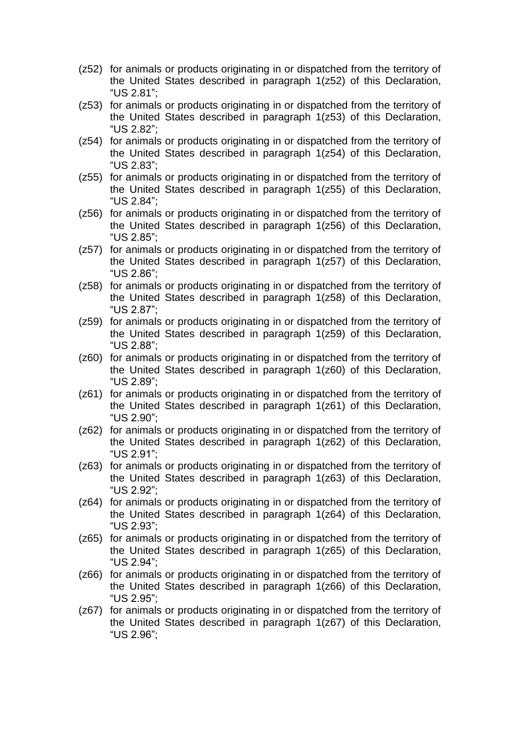- (z52) for animals or products originating in or dispatched from the territory of the United States described in paragraph 1(z52) of this Declaration, "US 2.81";
- (z53) for animals or products originating in or dispatched from the territory of the United States described in paragraph 1(z53) of this Declaration, "US 2.82";
- (z54) for animals or products originating in or dispatched from the territory of the United States described in paragraph 1(z54) of this Declaration, "US 2.83";
- (z55) for animals or products originating in or dispatched from the territory of the United States described in paragraph 1(z55) of this Declaration, "US 2.84";
- (z56) for animals or products originating in or dispatched from the territory of the United States described in paragraph 1(z56) of this Declaration, "US 2.85";
- (z57) for animals or products originating in or dispatched from the territory of the United States described in paragraph 1(z57) of this Declaration, "US 2.86";
- (z58) for animals or products originating in or dispatched from the territory of the United States described in paragraph 1(z58) of this Declaration, "US 2.87";
- (z59) for animals or products originating in or dispatched from the territory of the United States described in paragraph 1(z59) of this Declaration, "US 2.88";
- (z60) for animals or products originating in or dispatched from the territory of the United States described in paragraph 1(z60) of this Declaration, "US 2.89";
- (z61) for animals or products originating in or dispatched from the territory of the United States described in paragraph 1(z61) of this Declaration, "US 2.90";
- (z62) for animals or products originating in or dispatched from the territory of the United States described in paragraph 1(z62) of this Declaration, "US 2.91";
- (z63) for animals or products originating in or dispatched from the territory of the United States described in paragraph 1(z63) of this Declaration, "US 2.92";
- (z64) for animals or products originating in or dispatched from the territory of the United States described in paragraph 1(z64) of this Declaration, "US 2.93";
- (z65) for animals or products originating in or dispatched from the territory of the United States described in paragraph 1(z65) of this Declaration, "US 2.94";
- (z66) for animals or products originating in or dispatched from the territory of the United States described in paragraph 1(z66) of this Declaration, "US 2.95";
- (z67) for animals or products originating in or dispatched from the territory of the United States described in paragraph 1(z67) of this Declaration, "US 2.96";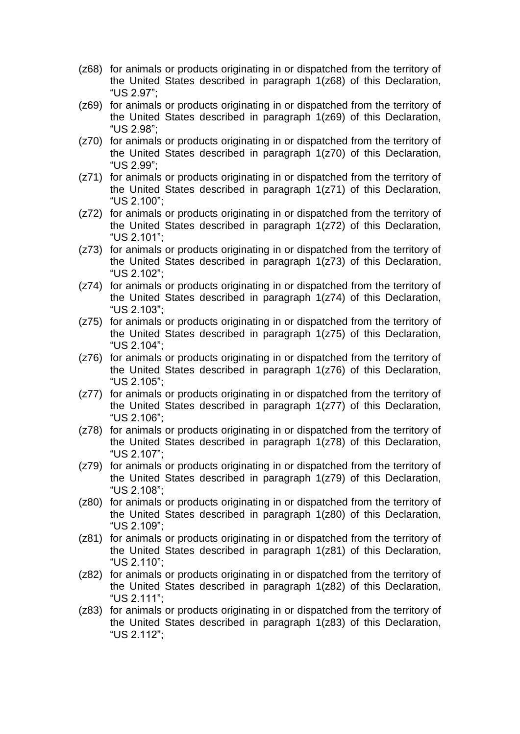- (z68) for animals or products originating in or dispatched from the territory of the United States described in paragraph 1(z68) of this Declaration, "US 2.97";
- (z69) for animals or products originating in or dispatched from the territory of the United States described in paragraph 1(z69) of this Declaration, "US 2.98";
- (z70) for animals or products originating in or dispatched from the territory of the United States described in paragraph 1(z70) of this Declaration, "US 2.99";
- (z71) for animals or products originating in or dispatched from the territory of the United States described in paragraph 1(z71) of this Declaration, "US 2.100";
- (z72) for animals or products originating in or dispatched from the territory of the United States described in paragraph 1(z72) of this Declaration, "US 2.101";
- (z73) for animals or products originating in or dispatched from the territory of the United States described in paragraph 1(z73) of this Declaration, "US 2.102";
- (z74) for animals or products originating in or dispatched from the territory of the United States described in paragraph 1(z74) of this Declaration, "US 2.103";
- (z75) for animals or products originating in or dispatched from the territory of the United States described in paragraph 1(z75) of this Declaration, "US 2.104";
- (z76) for animals or products originating in or dispatched from the territory of the United States described in paragraph 1(z76) of this Declaration, "US 2.105";
- (z77) for animals or products originating in or dispatched from the territory of the United States described in paragraph 1(z77) of this Declaration, "US 2.106";
- (z78) for animals or products originating in or dispatched from the territory of the United States described in paragraph 1(z78) of this Declaration, "US 2.107";
- (z79) for animals or products originating in or dispatched from the territory of the United States described in paragraph 1(z79) of this Declaration, "US 2.108";
- (z80) for animals or products originating in or dispatched from the territory of the United States described in paragraph 1(z80) of this Declaration, "US 2.109";
- (z81) for animals or products originating in or dispatched from the territory of the United States described in paragraph 1(z81) of this Declaration, "US 2.110";
- (z82) for animals or products originating in or dispatched from the territory of the United States described in paragraph 1(z82) of this Declaration, "US 2.111";
- (z83) for animals or products originating in or dispatched from the territory of the United States described in paragraph 1(z83) of this Declaration, "US 2.112";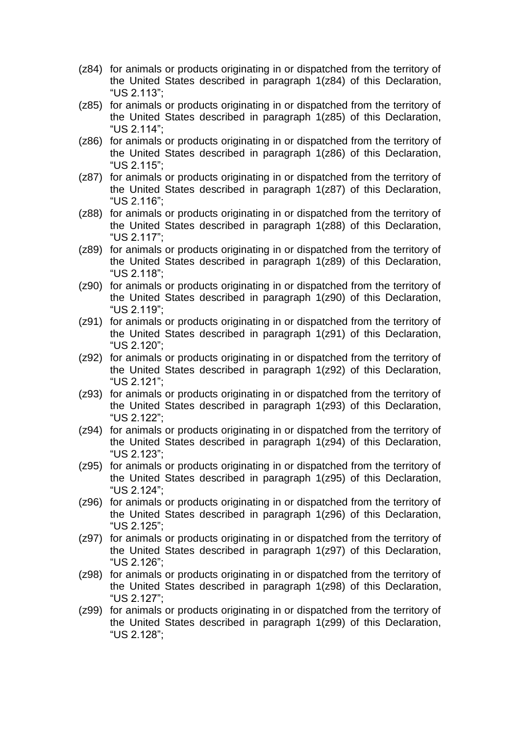- (z84) for animals or products originating in or dispatched from the territory of the United States described in paragraph 1(z84) of this Declaration, "US 2.113";
- (z85) for animals or products originating in or dispatched from the territory of the United States described in paragraph 1(z85) of this Declaration, "US 2.114";
- (z86) for animals or products originating in or dispatched from the territory of the United States described in paragraph 1(z86) of this Declaration, "US 2.115";
- (z87) for animals or products originating in or dispatched from the territory of the United States described in paragraph 1(z87) of this Declaration, "US 2.116";
- (z88) for animals or products originating in or dispatched from the territory of the United States described in paragraph 1(z88) of this Declaration, "US 2.117";
- (z89) for animals or products originating in or dispatched from the territory of the United States described in paragraph 1(z89) of this Declaration, "US 2.118";
- (z90) for animals or products originating in or dispatched from the territory of the United States described in paragraph 1(z90) of this Declaration, "US 2.119";
- (z91) for animals or products originating in or dispatched from the territory of the United States described in paragraph 1(z91) of this Declaration, "US 2.120";
- (z92) for animals or products originating in or dispatched from the territory of the United States described in paragraph 1(z92) of this Declaration, "US 2.121";
- (z93) for animals or products originating in or dispatched from the territory of the United States described in paragraph 1(z93) of this Declaration, "US 2.122";
- (z94) for animals or products originating in or dispatched from the territory of the United States described in paragraph 1(z94) of this Declaration, "US 2.123";
- (z95) for animals or products originating in or dispatched from the territory of the United States described in paragraph 1(z95) of this Declaration, "US 2.124";
- (z96) for animals or products originating in or dispatched from the territory of the United States described in paragraph 1(z96) of this Declaration, "US 2.125";
- (z97) for animals or products originating in or dispatched from the territory of the United States described in paragraph 1(z97) of this Declaration, "US 2.126";
- (z98) for animals or products originating in or dispatched from the territory of the United States described in paragraph 1(z98) of this Declaration, "US 2.127";
- (z99) for animals or products originating in or dispatched from the territory of the United States described in paragraph 1(z99) of this Declaration, "US 2.128";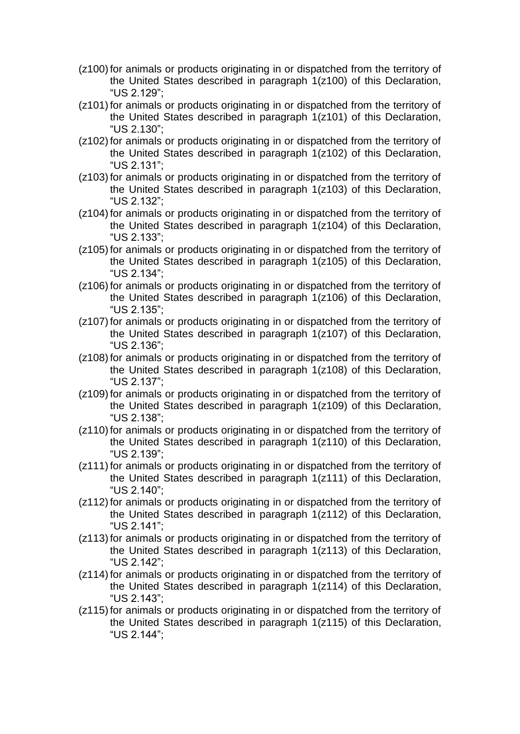- (z100)for animals or products originating in or dispatched from the territory of the United States described in paragraph 1(z100) of this Declaration, "US 2.129";
- (z101) for animals or products originating in or dispatched from the territory of the United States described in paragraph 1(z101) of this Declaration, "US 2.130";
- (z102) for animals or products originating in or dispatched from the territory of the United States described in paragraph 1(z102) of this Declaration, "US 2.131";
- (z103)for animals or products originating in or dispatched from the territory of the United States described in paragraph 1(z103) of this Declaration, "US 2.132";
- (z104) for animals or products originating in or dispatched from the territory of the United States described in paragraph 1(z104) of this Declaration, "US 2.133";
- (z105) for animals or products originating in or dispatched from the territory of the United States described in paragraph 1(z105) of this Declaration, "US 2.134";
- (z106) for animals or products originating in or dispatched from the territory of the United States described in paragraph 1(z106) of this Declaration, "US 2.135";
- (z107)for animals or products originating in or dispatched from the territory of the United States described in paragraph 1(z107) of this Declaration, "US 2.136";
- (z108)for animals or products originating in or dispatched from the territory of the United States described in paragraph 1(z108) of this Declaration, "US 2.137";
- (z109)for animals or products originating in or dispatched from the territory of the United States described in paragraph 1(z109) of this Declaration, "US 2.138";
- (z110) for animals or products originating in or dispatched from the territory of the United States described in paragraph 1(z110) of this Declaration, "US 2.139";
- (z111) for animals or products originating in or dispatched from the territory of the United States described in paragraph 1(z111) of this Declaration, "US 2.140";
- (z112) for animals or products originating in or dispatched from the territory of the United States described in paragraph 1(z112) of this Declaration, "US 2.141";
- (z113)for animals or products originating in or dispatched from the territory of the United States described in paragraph 1(z113) of this Declaration, "US 2.142";
- (z114) for animals or products originating in or dispatched from the territory of the United States described in paragraph 1(z114) of this Declaration, "US 2.143";
- (z115) for animals or products originating in or dispatched from the territory of the United States described in paragraph 1(z115) of this Declaration, "US 2.144";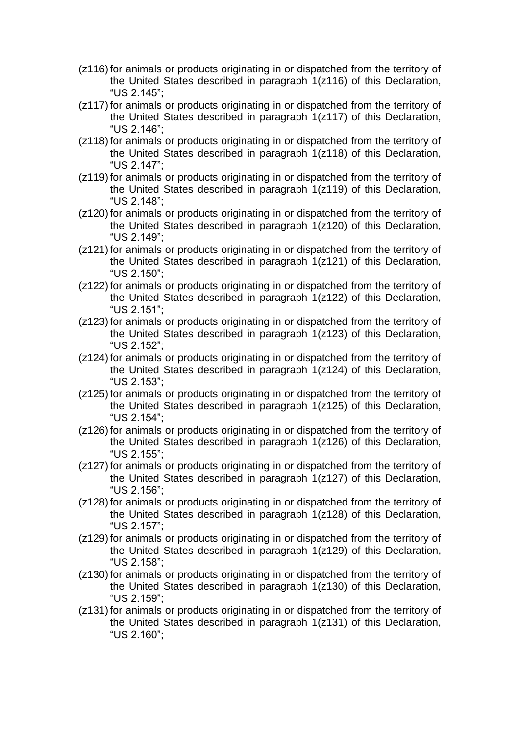- (z116) for animals or products originating in or dispatched from the territory of the United States described in paragraph 1(z116) of this Declaration, "US 2.145";
- (z117) for animals or products originating in or dispatched from the territory of the United States described in paragraph 1(z117) of this Declaration, "US 2.146";
- (z118) for animals or products originating in or dispatched from the territory of the United States described in paragraph 1(z118) of this Declaration, "US 2.147";
- (z119)for animals or products originating in or dispatched from the territory of the United States described in paragraph 1(z119) of this Declaration, "US 2.148";
- (z120)for animals or products originating in or dispatched from the territory of the United States described in paragraph 1(z120) of this Declaration, "US 2.149";
- (z121)for animals or products originating in or dispatched from the territory of the United States described in paragraph 1(z121) of this Declaration, "US 2.150";
- (z122)for animals or products originating in or dispatched from the territory of the United States described in paragraph 1(z122) of this Declaration, "US 2.151";
- (z123)for animals or products originating in or dispatched from the territory of the United States described in paragraph 1(z123) of this Declaration, "US 2.152";
- (z124) for animals or products originating in or dispatched from the territory of the United States described in paragraph 1(z124) of this Declaration, "US 2.153";
- (z125)for animals or products originating in or dispatched from the territory of the United States described in paragraph 1(z125) of this Declaration, "US 2.154";
- (z126) for animals or products originating in or dispatched from the territory of the United States described in paragraph 1(z126) of this Declaration, "US 2.155";
- (z127)for animals or products originating in or dispatched from the territory of the United States described in paragraph 1(z127) of this Declaration, "US 2.156";
- (z128)for animals or products originating in or dispatched from the territory of the United States described in paragraph 1(z128) of this Declaration, "US 2.157";
- (z129)for animals or products originating in or dispatched from the territory of the United States described in paragraph 1(z129) of this Declaration, "US 2.158";
- (z130) for animals or products originating in or dispatched from the territory of the United States described in paragraph 1(z130) of this Declaration, "US 2.159";
- (z131)for animals or products originating in or dispatched from the territory of the United States described in paragraph 1(z131) of this Declaration, "US 2.160";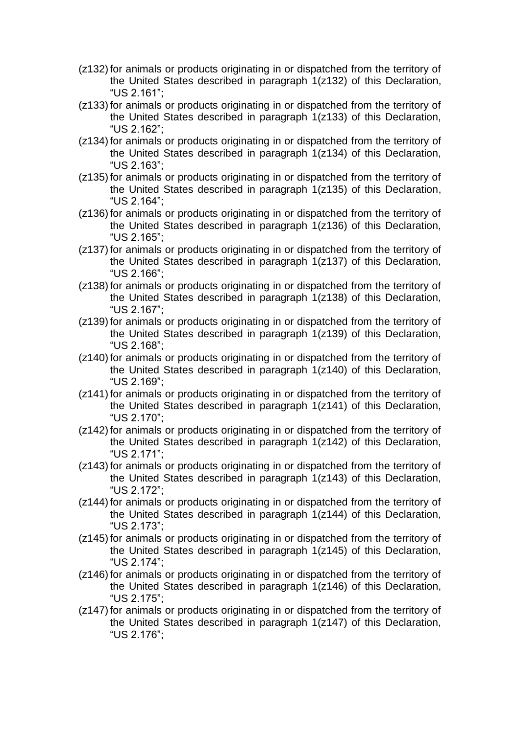- (z132)for animals or products originating in or dispatched from the territory of the United States described in paragraph 1(z132) of this Declaration, "US 2.161";
- (z133)for animals or products originating in or dispatched from the territory of the United States described in paragraph 1(z133) of this Declaration, "US 2.162";
- (z134) for animals or products originating in or dispatched from the territory of the United States described in paragraph 1(z134) of this Declaration, "US 2.163";
- (z135)for animals or products originating in or dispatched from the territory of the United States described in paragraph 1(z135) of this Declaration, "US 2.164";
- (z136) for animals or products originating in or dispatched from the territory of the United States described in paragraph 1(z136) of this Declaration, "US 2.165";
- (z137)for animals or products originating in or dispatched from the territory of the United States described in paragraph 1(z137) of this Declaration, "US 2.166";
- (z138)for animals or products originating in or dispatched from the territory of the United States described in paragraph 1(z138) of this Declaration, "US 2.167";
- (z139)for animals or products originating in or dispatched from the territory of the United States described in paragraph 1(z139) of this Declaration, "US 2.168";
- (z140) for animals or products originating in or dispatched from the territory of the United States described in paragraph 1(z140) of this Declaration, "US 2.169";
- (z141) for animals or products originating in or dispatched from the territory of the United States described in paragraph 1(z141) of this Declaration, "US 2.170";
- (z142) for animals or products originating in or dispatched from the territory of the United States described in paragraph 1(z142) of this Declaration, "US 2.171";
- (z143)for animals or products originating in or dispatched from the territory of the United States described in paragraph 1(z143) of this Declaration, "US 2.172";
- (z144) for animals or products originating in or dispatched from the territory of the United States described in paragraph 1(z144) of this Declaration, "US 2.173";
- (z145) for animals or products originating in or dispatched from the territory of the United States described in paragraph 1(z145) of this Declaration, "US 2.174";
- (z146) for animals or products originating in or dispatched from the territory of the United States described in paragraph 1(z146) of this Declaration, "US 2.175";
- (z147) for animals or products originating in or dispatched from the territory of the United States described in paragraph 1(z147) of this Declaration, "US 2.176";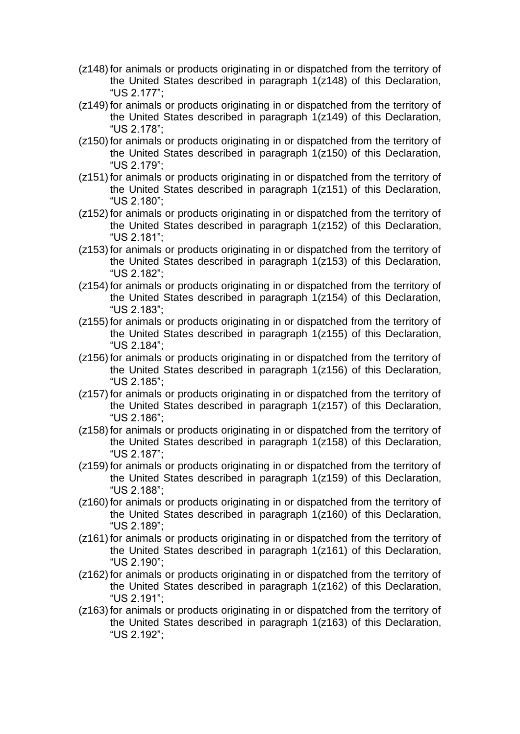- (z148) for animals or products originating in or dispatched from the territory of the United States described in paragraph 1(z148) of this Declaration, "US 2.177";
- (z149) for animals or products originating in or dispatched from the territory of the United States described in paragraph 1(z149) of this Declaration, "US 2.178";
- (z150) for animals or products originating in or dispatched from the territory of the United States described in paragraph 1(z150) of this Declaration, "US 2.179";
- (z151) for animals or products originating in or dispatched from the territory of the United States described in paragraph 1(z151) of this Declaration, "US 2.180";
- (z152) for animals or products originating in or dispatched from the territory of the United States described in paragraph 1(z152) of this Declaration, "US 2.181";
- (z153)for animals or products originating in or dispatched from the territory of the United States described in paragraph 1(z153) of this Declaration, "US 2.182";
- (z154) for animals or products originating in or dispatched from the territory of the United States described in paragraph 1(z154) of this Declaration, "US 2.183";
- (z155)for animals or products originating in or dispatched from the territory of the United States described in paragraph 1(z155) of this Declaration, "US 2.184";
- (z156) for animals or products originating in or dispatched from the territory of the United States described in paragraph 1(z156) of this Declaration, "US 2.185";
- (z157)for animals or products originating in or dispatched from the territory of the United States described in paragraph 1(z157) of this Declaration, "US 2.186";
- (z158)for animals or products originating in or dispatched from the territory of the United States described in paragraph 1(z158) of this Declaration, "US 2.187";
- (z159)for animals or products originating in or dispatched from the territory of the United States described in paragraph 1(z159) of this Declaration, "US 2.188";
- (z160) for animals or products originating in or dispatched from the territory of the United States described in paragraph 1(z160) of this Declaration, "US 2.189";
- (z161) for animals or products originating in or dispatched from the territory of the United States described in paragraph 1(z161) of this Declaration, "US 2.190";
- (z162) for animals or products originating in or dispatched from the territory of the United States described in paragraph 1(z162) of this Declaration, "US 2.191";
- (z163)for animals or products originating in or dispatched from the territory of the United States described in paragraph 1(z163) of this Declaration, "US 2.192";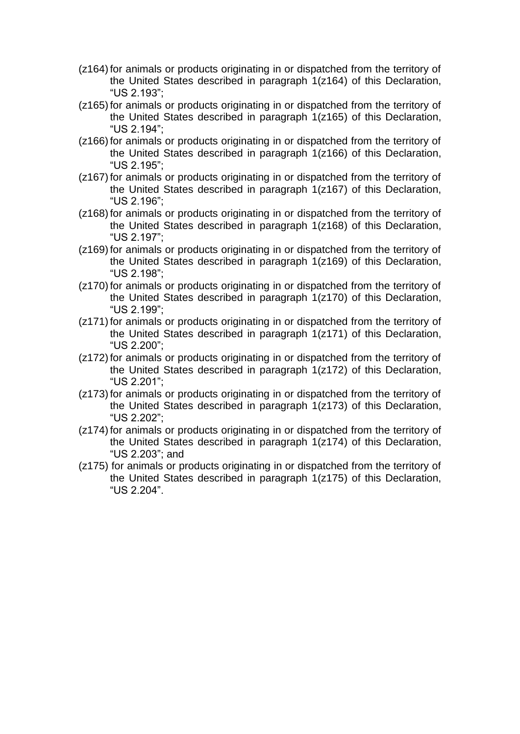- (z164) for animals or products originating in or dispatched from the territory of the United States described in paragraph 1(z164) of this Declaration, "US 2.193";
- (z165) for animals or products originating in or dispatched from the territory of the United States described in paragraph 1(z165) of this Declaration, "US 2.194";
- (z166) for animals or products originating in or dispatched from the territory of the United States described in paragraph 1(z166) of this Declaration, "US 2.195";
- (z167) for animals or products originating in or dispatched from the territory of the United States described in paragraph 1(z167) of this Declaration, "US 2.196";
- (z168) for animals or products originating in or dispatched from the territory of the United States described in paragraph 1(z168) of this Declaration, "US 2.197";
- (z169) for animals or products originating in or dispatched from the territory of the United States described in paragraph 1(z169) of this Declaration, "US 2.198";
- (z170) for animals or products originating in or dispatched from the territory of the United States described in paragraph 1(z170) of this Declaration, "US 2.199";
- (z171)for animals or products originating in or dispatched from the territory of the United States described in paragraph 1(z171) of this Declaration, "US 2.200";
- (z172) for animals or products originating in or dispatched from the territory of the United States described in paragraph 1(z172) of this Declaration, "US 2.201";
- (z173)for animals or products originating in or dispatched from the territory of the United States described in paragraph 1(z173) of this Declaration, "US 2.202";
- (z174) for animals or products originating in or dispatched from the territory of the United States described in paragraph 1(z174) of this Declaration, "US 2.203"; and
- (z175) for animals or products originating in or dispatched from the territory of the United States described in paragraph 1(z175) of this Declaration, "US 2.204".